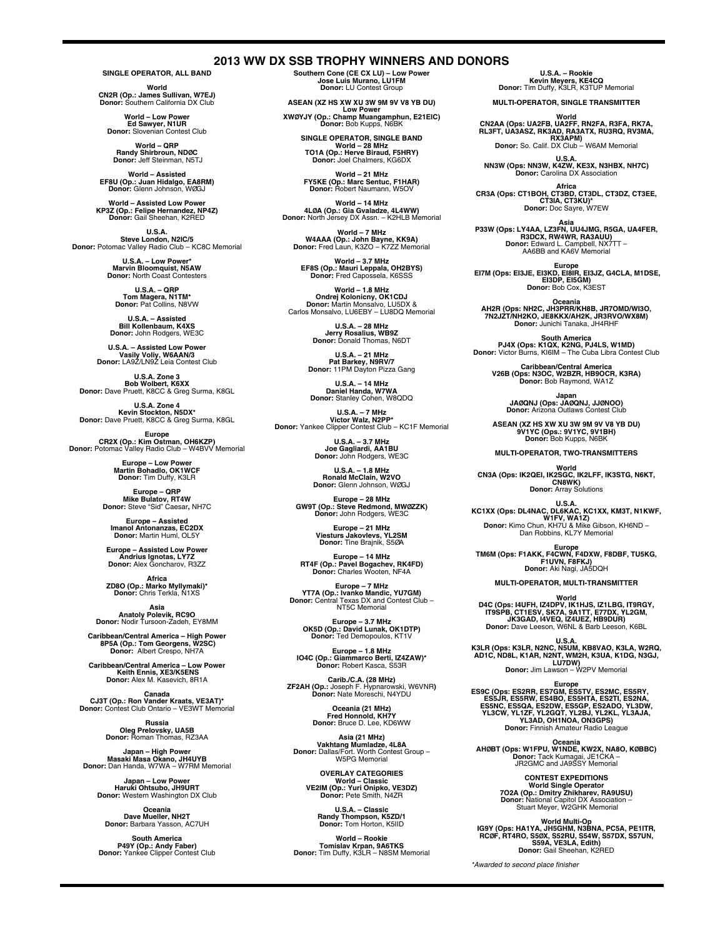**2013 WW DX SSB TROPHY WINNERS AND DONORS**

**SINGLE OPERATOR, ALL BAND**

**World<br>CN2R (Op.: James Sullivan, W7EJ)<br>Donor: Southern California DX Club** 

**World – Low Power Ed Sawyer, N1UR Donor:** Slovenian Contest Club

**World – QRP Randy Shirbroun, NDØC Donor:** Jeff Steinman, N5TJ

**World – Assisted EF8U (Op.: Juan Hidalgo, EA8RM) Donor:** Glenn Johnson, WØGJ

**World – Assisted Low Power KP3Z (Op.: Felipe Hernandez, NP4Z) Donor:** Gail Sheehan, K2RED

**U.S.A. Steve London, N2IC/5 Donor:** Potomac Valley Radio Club – KC8C Memorial

> **U.S.A. – Low Power\* Marvin Bloomquist, N5AW Donor:** North Coast Contesters

**U.S.A. – QRP Tom Magera, N1TM\* Donor:** Pat Collins, N8VW

**U.S.A. – Assisted Bill Kollenbaum, K4XS Donor:** John Rodgers, WE3C

**U.S.A. – Assisted Low Power Vasily Voliy, W6AAN/3 Donor:** LA9Z/LN9Z Leia Contest Club

**U.S.A. Zone 3<br>Bob Wolbert, K6XX**<br>Donor: Dave Pruett, K8CC & Greg Surma, K8GL

**U.S.A. Zone 4<br><b>Kevin Stockton, N5DX\***<br>Donor: Dave Pruett, K8CC & Greg Surma, K8GL

**Europe CR2X (Op.: Kim Ostman, OH6KZP) Donor:** Potomac Valley Radio Club – W4BVV Memorial

**Europe – Low Power Martin Bohadlo, OK1WCF Donor:** Tim Duffy, K3LR

**Europe – QRP Mike Bulatov, RT4W Donor:** Steve "Sid" Caesar**,** NH7C

**Europe – Assisted Imanol Antonanzas, EC2DX Donor:** Martin Huml, OL5Y

**Europe – Assisted Low Power Andrius Ignotas, LY7Z Donor:** Alex Goncharov, R3ZZ

**Africa<br>\*ZD8O (Op.: Marko Myllymaki)<br>Donor: Chris Terkla, N1XS** 

**Asia Anatoly Polevik, RC9O Donor:** Nodir Tursoon-Zadeh, EY8MM

**Caribbean/Central America – High Power 8P5A (Op.: Tom Georgens, W2SC) Donor:** Albert Crespo, NH7A

**Caribbean/Central America – Low Power Keith Ennis, XE3/K5ENS Donor:** Alex M. Kasevich, 8R1A

**Canada<br>CJ3T (Op.: Ron Vander Kraats, VE3AT)\*<br>Donor: Contest Club Ontario – VE3WT Memorial** 

**Russia Oleg Prelovsky, UA5B Donor:** Roman Thomas, RZ3AA

**Japan – High Power<br>Masaki Masa Okano, JH4UYB<br>Donor: Dan Handa, W7WA – W7RM Memorial** 

**Japan – Low Power Haruki Ohtsubo, JH9URT Donor:** Western Washington DX Club

**Oceania Dave Mueller, NH2T Donor:** Barbara Yasson, AC7UH

**South America<br>P49Y (Op.: Andy Faber)<br>Donor: Yankee Clipper Contest Club** 

**Southern Cone (CE CX LU) – Low Power Jose Luis Murano, LU1FM Donor:** LU Contest Group

**ASEAN (XZ HS XW XU 3W 9M 9V V8 YB DU) Low Power XWØYJY (Op.: Champ Muangamphun, E21EIC) Donor:** Bob Kupps, N6BK

**SINGLE OPERATOR, SINGLE BAND World – 28 MHz TO1A (Op.: Herve Biraud, F5HRY) Donor:** Joel Chalmers, KG6DX

**World – 21 MHz FY5KE (Op.: Marc Sentuc, F1HAR) Donor:** Robert Naumann, W5OV

**World – 14 MHz 4LØA (Op.: Gia Gvaladze, 4L4WW) Donor:** North Jersey DX Assn. – K2HLB Memorial

**World – 7 MHz W4AAA (Op.: John Bayne, KK9A) Donor:** Fred Laun, K3ZO – K7ZZ Memorial

**World – 3.7 MHz EF8S (Op.: Mauri Leppala, OH2BYS) Donor:** Fred Capossela, K6SSS

**World – 1.8 MHz<br>
<b>Ondrej Kolonicny, OK1CDJ**<br>Donor: Martin Monsalvo, LU5DX &<br>Carlos Monsalvo, LU6EBY – LU8DQ Memorial

**U.S.A. – 28 MHz Jerry Rosalius, WB9Z Donor:** Donald Thomas, N6DT

**U.S.A. – 21 MHz Pat Barkey, N9RV/7 Donor:** 11PM Dayton Pizza Gang

**U.S.A. – 14 MHz Daniel Handa, W7WA Donor:** Stanley Cohen, W8QDQ

**U.S.A. – 7 MHz Victor Walz, N2PP\* Donor:** Yankee Clipper Contest Club – KC1F Memorial

**U.S.A. – 3.7 MHz Joe Gagliardi, AA1BU Donor:** John Rodgers, WE3C

**U.S.A. – 1.8 MHz Ronald McClain, W2VO Donor:** Glenn Johnson, WØGJ

**Europe – 28 MHz GW9T (Op.: Steve Redmond, MWØZZK) Donor:** John Rodgers, WE3C

**Europe – 21 MHz Viesturs Jakovlevs, YL2SM Donor:** Tine Brajnik, S5ØA

**Europe – 14 MHz RT4F (Op.: Pavel Bogachev, RK4FD) Donor:** Charles Wooten, NF4A

**Europe – 7 MHz<br>
<b>YT7A (Op.: Ivanko Mandic, YU7GM)**<br> **Donor:** Central Texas DX and Contest Club –<br>
NT5C Memorial

**Europe – 3.7 MHz OK5D (Op.: David Lunak, OK1DTP) Donor:** Ted Demopoulos, KT1V

**Europe – 1.8 MHz IO4C (Op.: Giammarco Berti, IZ4ZAW)\* Donor:** Robert Kasca, S53R

**Carib./C.A. (28 MHz) ZF2AH (Op.:** Joseph F. Hypnarowski, W6VNR**) Donor:** Nate Moreschi, N4YDU

**Oceania (21 MHz) Fred Honnold, KH7Y Donor:** Bruce D. Lee, KD6WW

**Asia (21 MHz) Vakhtang Mumladze, 4L8A Donor:** Dallas/Fort. Worth Contest Group – W5PG Memorial

**OVERLAY CATEGORIES World – Classic VE2IM (Op.: Yuri Onipko, VE3DZ) Donor:** Pete Smith, N4ZR

**U.S.A. – Classic Randy Thompson, K5ZD/1 Donor:** Tom Horton, K5IID

**World – Rookie Tomislav Krpan, 9A6TKS Donor:** Tim Duffy, K3LR – N8SM Memorial **U.S.A. – Rookie Kevin Meyers, KE4CQ Donor:** Tim Duffy, K3LR, K3TUP Memorial

**MULTI-OPERATOR, SINGLE TRANSMITTER**

World<br>CN2AA (Ops: UA2FB, UA2FF, RN2FA, R3FA, RK7A,<br>RL3FT, UA3ASZ, RK3AD, RA3ATX, RU3RQ, RV3MA,<br>Donor: So. Calif. DX Club – W6AM Memorial

**U.S.A.<br>NN3W (Ops: NN3W, K4ZW, KE3X, N3HBX, NH7C)<br>Donor: Carolina DX Association** 

**Africa CR3A (Ops: CT1BOH, CT3BD, CT3DL, CT3DZ, CT3EE, CT3IA, CT3KU)\* Donor:** Doc Sayre, W7EW

**Asia P33W (Ops: LY4AA, LZ3FN, UU4JMG, R5GA, UA4FER, R3DCX, RW4WR, RA3AUU) Donor:** Edward L. Campbell, NX7TT – AA6BB and KA6V Memorial

**Europe EI7M (Ops: EI3JE, EI3KD, EI8IR, EI3JZ, G4CLA, M1DSE, EI3DP, EI5GM) Donor:** Bob Cox, K3EST

Oceania<br>AH2R (Ops: NH2C, JH3PRR/KH8B, JR7OMD/WI3O,<br>7N2JZT/NH2KO, JE8KKX/AH2K, JR3RVO/WX8M) **Donor:** Junichi Tanaka, JH4RHF

**South America<br><b>PJ4X (Ops: K1QX, K2NG, PJ4LS, W1MD)**<br>Donor: Victor Burns, KI6IM – The Cuba Libra Contest Club

**Caribbean/Central America V26B (Ops: N3OC, W2BZR, HB9OCR, K3RA) Donor:** Bob Raymond, WA1Z

**Japan JAØQNJ (Ops: JAØQNJ, JJØNOO) Donor:** Arizona Outlaws Contest Club

**ASEAN (XZ HS XW XU 3W 9M 9V V8 YB DU) 9V1YC (Ops.: 9V1YC, 9V1BH) Donor:** Bob Kupps, N6BK

**MULTI-OPERATOR, TWO-TRANSMITTERS**

World<br>CN3A (Ops: IK2QEI, IK2SGC, IK2LFF, IK3STG, N6KT,<br>CN8WK) **Donor:** Array Solutions

U.S.A.<br>**KC1XX (Ops: DL4NAC, DL6KAC, KC1XX, KM3T, N1KWF,<br>Donor: Kimo Chun, KH7U & Mike Gibson, KH6ND –<br>Dan Robbins, KL7Y Memorial** 

**Europe TM6M (Ops: F1AKK, F4CWN, F4DXW, F8DBF, TU5KG, F1UVN, F8FKJ) Donor:** Aki Nagi, JA5DQH

**MULTI-OPERATOR, MULTI-TRANSMITTER**

**World D4C (Ops: I4UFH, IZ4DPV, IK1HJS, IZ1LBG, IT9RGY, IT9SPB, CT1ESV, SK7A, 9A1TT, E77DX, YL2GM, JK3GAD, I4VEQ, IZ4UEZ, HB9DUR) Donor:** Dave Leeson, W6NL & Barb Leeson, K6BL

U.S.A. U.S.A.<br>**K3LR (Ops: K3LR, N2NC, N5UM, KB8VAO, K3LA, W2RQ,<br>AD1C, ND8L, K1AR, N2NT, WM2H, K3UA, K1DG, N3GJ,<br>Donor: Jim Lawson – W2PV Memorial** 

Europe<br>ESSC (Ops: ES2RR, ES7GM, ES5TV, ES2MC, ES5RY,<br>ESSJR, ES5RW, ES4BO, ES5HTA, ES2TI, ES2NA,<br>ES5NC, ES5QA, ES2DW, ES5GP, ES2ADO, YL3DW,<br>YL3CW, YL1ZF, YL2GQT, YL2BJ, YL2KL, YL3AJA,<br>Donor: Finnish Amateur Radio League

**Oceania Commique (Ops: W1FPU, W1NDE, KW2X, NA8O, KØBBC)<br>Donor: Tack Kumagai, JE1CKA –<br>JR2GMC and JA9SSY Memorial** 

**CONTEST EXPEDITIONS<br>
<b>Vorld Single Operator**<br> **7O2A (Op.: Dmitry Zhikharev, RA9USU)**<br> **Donor:** National Capitol DX Association –<br>
Stuart Meyer, W2GHK Memorial

World Multi-Op<br>IG9Y (Ops: HA1YA, JH5GHM, N3BNA, PC5A, PE1ITR,<br>RCØF, RT4RO, S59X, S52RU, S54W, S57DX, S57UN,<br>S59A, VE3LA, Edith)<br>Donor: Gail Sheehan, K2RED

*\*Awarded to second place finisher*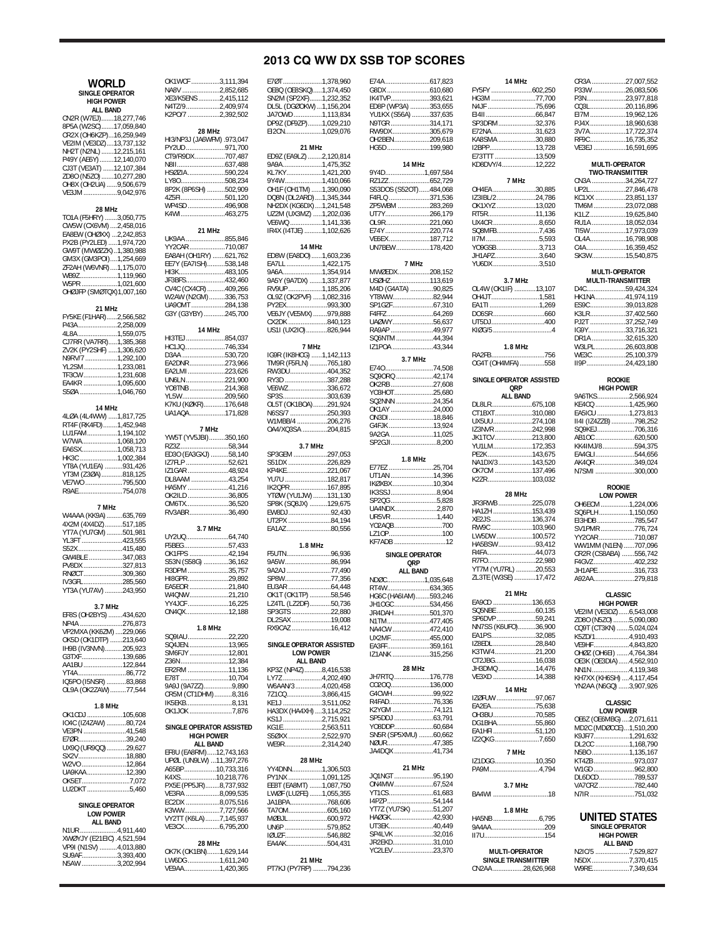# **2013 CQ WW DX SSB TOP SCORES**

E74A .........................617,823

| WORLD                                            | OK1WCF 3,111,394                              |  |
|--------------------------------------------------|-----------------------------------------------|--|
| SINGLE OPERATOR                                  | NA8V 2,852,685                                |  |
| <b>HIGH POWER</b>                                | XE3/K5ENS 2,415,112                           |  |
| <b>ALL BAND</b>                                  | N4TZ/92,409,974<br>K2PO/7 2,392,502           |  |
| CN2R (W7EJ)18,277,746                            |                                               |  |
| 8P5A (W2SC)17,059,840<br>CR2X (OH6KZP)16,259,949 | 28 MHz                                        |  |
| VE2IM (VE3DZ)13,737,132                          | HI3/NP3J (JA6WFM) .973,047                    |  |
| NH2T (N2NL) 12,215,161                           | PY2UD 971,700                                 |  |
| P49Y (AE6Y) 12,140,070                           | CT9/R9DX 707,487                              |  |
| CJ3T (VE3AT) 12,107,384                          | HSØZIA590,224                                 |  |
| ZD80 (N5Z0) 10,277,280<br>OH8X (OH2UA) 9,506,679 | LY80508,234                                   |  |
| VE3JM 9,042,976                                  | 8P2K (8P6SH) 502,909                          |  |
|                                                  | 4Z5FI501,120                                  |  |
| 28 MHz                                           | WP4SD 496,908<br>K4WI463,275                  |  |
| TO1A (F5HRY) 3,050,775<br>CW5W (CX6VM) 2,458,016 |                                               |  |
| EA8EW (OHØXX) 2,242,853                          | 21 MHz                                        |  |
| PX2B (PY2LED) 1,974,720                          | UK9AA 855,846                                 |  |
| GW9T (MWØZZK)1,380,988                           | YY2CAR 710,087                                |  |
| GM3X (GM3POI)1,254,669                           | ЕА8АН (OH1RY) 621,762<br>EE7Y (EA7ISH)538,148 |  |
| ZF2AH (W6VNR)1,175,070                           | HI3K483,105                                   |  |
| WB9Z1,119,960<br>W5PR 1,021,600                  | JF3BFS432,460                                 |  |
| OHØJFP (SMØTQX)1,007,160                         | CV4C (CX4CR) 409,266                          |  |
|                                                  | W2AW (N2GM)336,753                            |  |
| 21 MHz                                           | UA9OMT 284,138<br>G3Y (G3YBY) 245,700         |  |
| FY5KE (F1HAR)2,566,582                           |                                               |  |
| P43A2,258,009<br>4L8A 1,559,075                  | 14 MHz                                        |  |
| CJ7RR (VA7RR)1,385,368                           | HI3TEJ854,037                                 |  |
| ZV2K (PY2SHF) 1,306,620                          | HC1JQ746,334                                  |  |
| N9RV/7 1,292,100                                 | D3AA 530,720<br>EA2DNR 273,966                |  |
| YL2SM1,233,081                                   | EA2LMI223,626                                 |  |
| TF3CW1,231,608<br>EA4KR 1,095,600                | UN6LN 221,900                                 |  |
| S50A 1,046,760                                   | YO8TNB214,368                                 |  |
|                                                  | YL5W209,560                                   |  |
| 14 MHz                                           | K7KU (KØKR)176,648<br>UA1AQA171,828           |  |
| 4LØA (4L4WW) 1,817,725                           |                                               |  |
| RT4F (RK4FD)1,452,948<br>LU1FAM1,194,102         | 7 MHz                                         |  |
| W7WA1,068,120                                    | YW5T (YV5JBI)350,160                          |  |
| EA6SX1,058,713                                   | RZ3Z 58,344                                   |  |
| HK3C 1,002,384                                   | ED3O (EA3GXJ) 58,140<br>IZ7FLP 52,621         |  |
| YT8A (YU1EA) 931,426<br>YT3M (Z3ØA)818,125       | IZ1GAR 48,924                                 |  |
| VE7WO 795,500                                    | DL8AAM 43,254                                 |  |
| R9AE754,078                                      | HA5MY 41,216                                  |  |
|                                                  | OK2ILD 36,805<br>OM6TX36,520                  |  |
| 7 MHz                                            | RV3ABR 36,490                                 |  |
| W4AAA (KK9A) 635,769<br>4X2M (4X4DZ)517,185      |                                               |  |
| YT7A (YU7GM) 501,981                             | 3.7 MHz                                       |  |
| YL3FT 423,555                                    | UY2UQ64,740                                   |  |
| S52X415,480                                      | F5BEG57,433<br>OK1FPS 42,194                  |  |
| GW4BLE 347,083<br>PV8DX 327,813                  | S53N (S58G) 36,162                            |  |
| RNØCT309,360                                     | R3DPM 35,757                                  |  |
| IV3GFL285,560                                    | HI8GPR29,892                                  |  |
| YT3A (YU7AV) 243,950                             | EA5EOR 21,840                                 |  |
|                                                  | W4QNW 21,210<br>YY4JCF 16,225                 |  |
| 3.7 MHz                                          | ON4QX 12,188                                  |  |
| EF8S (OH2BYS) 434,620<br>NP4A 276,873            |                                               |  |
| VP2MXA (KK6ZM) 229,066                           | 1.8 MHz                                       |  |
| OK5D (OK1DTP) 213,640                            | SQ9IAU22,220<br>SQ4JEN13,965                  |  |
| IH9B (IV3NVN)205,923                             | SM6FJY 12,801                                 |  |
| G3TXF139,686<br>AA1BU 122,844                    | Z36N12,384                                    |  |
| YT4A86,772                                       | ER2RM 11,136                                  |  |
| IQ5PO (I5NSR) 83,868                             | E78T 10,704<br>9A9J (9A7ZZ)9,890              |  |
| OL9A (OK2ZAW)77,544                              | CR5M (CT1DHM)8,316                            |  |
|                                                  | IK5EKB8,131                                   |  |
| 1.8 MHz<br>OK1CDJ 105,608                        | OK1JOK 7,876                                  |  |
| IO4C (IZ4ZAW) 80,724                             |                                               |  |
| VE3PN 41,548                                     | SINGLE OPERATOR ASSISTE<br><b>HIGH POWER</b>  |  |
| E7ØR39,240                                       | <b>ALL BAND</b>                               |  |
| UX9Q (UR9QQ) 29,627                              | EF8U (EA8RM)12,743,163                        |  |
| SX2V18,880<br>W2VO 12,864                        | UPØL (UN9LW) 11,397,276                       |  |
| UA9KAA 12,390                                    | A65BP10,733,316                               |  |
| OK5ET7,072                                       | K4XS10,218,776<br>PX5E (PP5JR)8,737,932       |  |
| LU2DKT 5,460                                     | VE3RA 8,099,535                               |  |
| <b>SINGLE OPERATOR</b>                           | EC2DX 8,075,516                               |  |
| <b>LOW POWER</b>                                 | K3WW7,727,566                                 |  |
| <b>ALL BAND</b>                                  | VY2TT (K6LA) 7,145,937                        |  |
| N1UR4,911,440                                    | VE3CX6,795,200                                |  |
| XWØYJY (E21EIC) .4,521,594                       | 28 MHz                                        |  |
| VP9I (N1SV) 4,013,880<br>SU9AF3,393,400          | OK7K (OK1BN)1,629,144                         |  |
| N5AW 3,202,994                                   | LW6DG 1,611,240                               |  |
|                                                  | VE9AA1,420,365                                |  |

| ,111,394<br>,852,685<br>,415,112<br>,409,974<br>,392,502 | E70T 1,378,960<br>OE8Q (OE8SKQ)1,374,450<br>SN2M (SP2XF)1,232,352<br>DL5L (DGØOKW) 1,156,204<br>JA70WD 1,113,834 |  |
|----------------------------------------------------------|------------------------------------------------------------------------------------------------------------------|--|
| .973,047<br>.971,700                                     | DP9Z (DF9ZP)1,029,210<br>EI2CN1,029,076<br>21 MHz                                                                |  |
| .707,487                                                 | ED9Z (EA9LZ) 2,120,814                                                                                           |  |
| .637,488                                                 | 9A9A1,475,352                                                                                                    |  |
| .590,224<br>.508,234                                     | KL7KY1,421,200<br>9Y4W1,410,066                                                                                  |  |
| .502,909                                                 | OH1F (OH1TM) 1,390,090                                                                                           |  |
| .501,120                                                 | DQ8N (DL2ARD)  1,345,344                                                                                         |  |
| .496,908                                                 | NH2DX (KG6DX)1,241,548                                                                                           |  |
| .463,275                                                 | UZ2M (UX3MZ) 1,202,036<br>VE6WQ 1,141,336<br>IR4X (I4TJE) 1,102,626                                              |  |
| .855,846<br>.710,087                                     | 14 MHz                                                                                                           |  |
| .621,762                                                 | ED8W (EA8DO) 1,603,236                                                                                           |  |
| .538,148                                                 | EA7LL 1,422,175                                                                                                  |  |
| .483,105<br>.432,460                                     | 9A6A1,354,914                                                                                                    |  |
| .409,266                                                 | 9A5Y (9A7DX) 1,337,877<br>RV9UP 1,185,206                                                                        |  |
| .336,753                                                 | OL9Z (OK2PVF) 1,082,316                                                                                          |  |
| .284,138                                                 | PY2EX993,300                                                                                                     |  |
| .245,700                                                 | VE6JY (VE5MX) 979,888                                                                                            |  |
| .854,037                                                 | CX2DK 840,123<br>US1I (UX2IO)826,944                                                                             |  |
| .746,334                                                 | 7 MHz                                                                                                            |  |
| .530,720<br>.273,966                                     | IG9R (IK8HCG) 1,142,113<br>TM9R (F5FLN) 765,180                                                                  |  |
| .223,626                                                 | RW3DU404,352                                                                                                     |  |
| .221,900                                                 | RY3D 387,288                                                                                                     |  |
| .214,368                                                 | VE6WZ336,672                                                                                                     |  |
| .209,560<br>.176,648                                     | SP3S303,639<br>OL5T (OK1BOA)291,924                                                                              |  |
| .171,828                                                 | N6SS/7 250,393                                                                                                   |  |
|                                                          | W1MBB/4 206,276<br>0A4/XQ3SA 204,815                                                                             |  |
| .350,160                                                 |                                                                                                                  |  |
| 58,344<br>58,140                                         | 3.7 MHz<br>SP3GEM 297,053                                                                                        |  |
| 52,621                                                   | S51DX 226,829                                                                                                    |  |
| 48,924                                                   | KP4KE221,067                                                                                                     |  |
| 43,254                                                   | YU7U 182,817                                                                                                     |  |
| 41,216<br>36,805                                         | IK2QPR167,895                                                                                                    |  |
| 36,520                                                   | YTØW (YU1JW) 131,130<br>SP8K (SQ8JX) 129,675                                                                     |  |
| 36,490                                                   | EW8DJ92,430                                                                                                      |  |
|                                                          | UT2PX 84,194<br>EA1AZ 80,556                                                                                     |  |
| 64,740<br>57,433                                         | 1.8 MHz                                                                                                          |  |
| 42,194                                                   | F5UTN96,936                                                                                                      |  |
| 36,162                                                   | 9A5W86,994                                                                                                       |  |
| 35,757                                                   | 9A2AJ 77,490                                                                                                     |  |
| 29,892<br>21,840                                         | SP8W77,356                                                                                                       |  |
| 21,210                                                   | OK1T (OK1TP) 58,546                                                                                              |  |
| $\dots$ 16,225                                           | LZ4TL (LZ2DF)50,736                                                                                              |  |
| 12,188                                                   | SP3GTS 22,880                                                                                                    |  |
| 22,220                                                   | DL2SAX 19,008<br>RX9CAZ 16,412                                                                                   |  |
| 13,965<br>12,801                                         | SINGLE OPERATOR ASSISTED<br><b>LOW POWER</b>                                                                     |  |
| $\dots$ 12,384                                           | <b>ALL BAND</b>                                                                                                  |  |
| 11,136                                                   | KP3Z (NP4Z)8,416,538                                                                                             |  |
| 10,704<br>9,890                                          | LY7Z 4,202,490                                                                                                   |  |
| 8,316                                                    | W6AAN/3 4,020,458<br>7Z1CQ3,866,415                                                                              |  |
| 8,131                                                    | KE1J 3,511,052                                                                                                   |  |
| 7,876                                                    | HA3DX (HA4XH) 3,114,252                                                                                          |  |
| <b>ASSISTED</b>                                          | KS1J 2,715,921<br>KG1E2,563,511                                                                                  |  |
| R                                                        | S50XX 2,522,970                                                                                                  |  |
| ۱<br>,743,163                                            | WE9R2,314,240                                                                                                    |  |
| ,397,276                                                 | 28 MHz                                                                                                           |  |
| ,733,316                                                 | YY4DNN1,306,503                                                                                                  |  |
| ,218,776                                                 | PY1NX 1,091,125                                                                                                  |  |
| 737,932                                                  | EE8T (EA8MT) 1,087,750                                                                                           |  |
| ,099,535<br>,075,516                                     | LWØF (LU2FE) 1,055,355<br>JA1BPA768,606                                                                          |  |
| ,727,566                                                 | TA70M605,160                                                                                                     |  |
| ,145,937                                                 |                                                                                                                  |  |
| ,795,200                                                 | UN6P 579,852                                                                                                     |  |
|                                                          | IØUZF546,882<br>EA4AK504,431                                                                                     |  |
| ,629,144                                                 |                                                                                                                  |  |
| ,611,240<br>,420,365                                     | 21 MHz<br>PT7KJ (PY7RP) 794,236                                                                                  |  |
|                                                          |                                                                                                                  |  |

| 4,450          |                                      |  |
|----------------|--------------------------------------|--|
| 2,352          | IK4TVP393,621<br>ED8P (WP3A) 353,655 |  |
| 6,204<br>3,834 | YU1KX (S56A) 337,635                 |  |
| 9,210          | N9TGR 314,171                        |  |
| 9,076          | RW9DX 305,679                        |  |
|                | OH2BEN209,618<br>HG5D 199,980        |  |
| 0.814          |                                      |  |
| 5,352          | 14 MHz                               |  |
| 1,200<br>0,066 | 9Y4D1,697,584                        |  |
| 0,090          | S53DOS (S52OT)484,068                |  |
| 5,344          | F4FLQ 371,536                        |  |
| 1,548          | ZP5WBM 283,269                       |  |
| 2,036<br>1,336 | UT7Y266,179<br>OL9R221,060           |  |
| 2,626          | E74Y 220,774                         |  |
|                | VE6EX187,712                         |  |
|                | UN7BEW 178,420                       |  |
| 3,236<br>2,175 | 7 MHz                                |  |
| 4,914          | MWØEDX208,152                        |  |
| 7,877          | USØHZ113,619                         |  |
| 5,206<br>2,316 | M4D (G4ATA) 90,825<br>YT8WW82,944    |  |
| 3,300          | SP1GZF67,310                         |  |
| 9,888          |                                      |  |
| 0,123          | UAØWY56,637                          |  |
| 6,944          | RA9AP 49,977<br>SQ6NTM 44,394        |  |
|                | IZ1POA 43,344                        |  |
| 2,113          | 3.7 MHz                              |  |
| 5,180<br>4,352 | E74074,508                           |  |
| 7,288          | SQ90RQ 42,174                        |  |
| 6,672          | OK2RB 27,608                         |  |
| 3,639          | YO3HOT25,680<br>SQ2NNN 24,354        |  |
| 1,924<br>0,393 | OK1AY 24,000                         |  |
| 6,276          | ON3DI 18,846                         |  |
| 4,815          | G4FJK 13,924<br>9A2GA 11,025         |  |
|                | SP2GJI8,200                          |  |
| 7,053          |                                      |  |
| 6,829          | 1.8 MHz                              |  |
| 1,067          | E77EZ 25,704<br>UT1AN 14,396         |  |
|                |                                      |  |
| 2,817          |                                      |  |
| 7,895          | IKØXBX 10,304<br>IK3SSJ8,904         |  |
| 1,130<br>9,675 | SP2QG 5,828                          |  |
| 2,430          | UA4NDX2,870                          |  |
| 4,194          | UR5VR1,440<br>YO2AQB700              |  |
| 0,556          | LZ10P100                             |  |
|                | KF7ADB 12                            |  |
| 6,936          | SINGLE OPERATOR                      |  |
| 6,994          | QRP                                  |  |
| 7,490<br>7,356 | <b>ALL BAND</b>                      |  |
| 4,448          | NDØC1,035,648                        |  |
| 8,546          | HG6C (HA6IAM)593,246                 |  |
| 0,736          | JH1OGC 534,456                       |  |
| 2,880<br>9,008 | JR4DAH 501,370<br>N1TM477,405        |  |
| 6,412          |                                      |  |
|                | NA4CW 472,410<br>UX2MF 455,000       |  |
| SISTED         | EA3FF359,161                         |  |
|                | IZ1ANK 315,256                       |  |
| 6,538          | 28 MHz                               |  |
| 2,490          | JH7RTQ 176,778                       |  |
| 0,458<br>6,415 | CO2OQ 136,000<br>G4CWH99,922         |  |
| 1,052          | R4FAD76,336                          |  |
| 4,252          | K2YGM 74,121                         |  |
| 5,921          |                                      |  |
| 3.511<br>2,970 | SN5R (SP5XMU) 60,662                 |  |
| 4,240          | NØUR47,385                           |  |
|                | JA4DQX 41,734                        |  |
| 6,503          | 21 MHz                               |  |
| 1,125          | JQ1NGT 95,190                        |  |
| 7,750          | ON4MW67,524                          |  |
| 5,355          | YT1CS61,683<br>I4PZP54,144           |  |
| 8,606<br>5,160 | YT7Z (YU7SK) 51,207                  |  |
| 0,972          | HAØGK42,930                          |  |
| 9,852          | UT3EK40,449                          |  |
| 6,882<br>4,431 | SP4LVK 32,016<br>JR2EKD31,010        |  |
|                | YC2LEV23,370                         |  |
|                |                                      |  |
| 4,236          |                                      |  |

| IK4TVP393,621<br>ED8P (WP3A) 353,655 | HG3M                    |
|--------------------------------------|-------------------------|
| YU1KX (S56A) 337,635                 | N4JF<br>E1411           |
| N9TGR 314,171                        | SP3DRN                  |
| RW9DX 305,679                        | E72NA                   |
| OH2BEN209,618<br>HG5D199,980         | KA8SM/                  |
|                                      | I2BPP<br>E73TTT         |
| 14 MHz                               | KD8DVY                  |
| 9Y4D1,697,584                        |                         |
| S53DOS (S52OT)484,068                | OH4EA.                  |
| F4FLQ 371,536                        | IZ3IBL/2                |
| ZP5WBM 283,269<br>UT7Y266,179        | OK1XYZ<br>RT5R          |
| OL9R221,060                          | UX4CR.                  |
| E74Y 220,774                         | SQ8MFE                  |
| VE6EX187,712<br>UN7BEW 178,420       | II7M<br>YO9GSB          |
|                                      | JH1APZ                  |
| 7 MHz<br>MWØEDX208,152               | YU6DX.                  |
| USØHZ113,619                         |                         |
| M4D (G4ATA) 90,825                   | $OL4W$ (                |
| YT8WW82,944                          | OH4JT.<br>EA1TI         |
| SP1GZF67,310                         | DO6SR.                  |
| UAØWY56,637                          | UT5DJ                   |
| RA9AP 49,977                         | KIØG/5.                 |
| SQ6NTM 44,394<br>IZ1POA 43,344       |                         |
| 3.7 MHz                              | RA2FB                   |
| E74074,508                           | OG4T (C                 |
| SQ9ORQ 42,174                        | <b>SINGLE</b>           |
| OK2RB27,608                          |                         |
| YO3HOT25,680<br>SQ2NNN 24,354        |                         |
| OK1AY 24,000                         | DL8LR<br>CT1BXT         |
| ON3DI 18,846<br>G4FJK 13,924         | UX5UU.                  |
| 9A2GA 11,025                         | IZ3NVR                  |
| SP2GJI8,200                          | <b>JK1TCV</b><br>YU1LM. |
| 1.8 MHz                              | <b>PE2K</b>             |
| E77EZ 25,704                         | NA1DX/3                 |
| UT1AN 14,396                         | OK7CM<br><b>K2ZR</b>    |
| IKØXBX10,304<br>IK3SSJ8,904          |                         |
| SP2QG5,828                           | JR3RWE                  |
| UA4NDX2,870                          | HA1ZH.                  |
| UR5VR1,440<br>YO2AQB700              | XE2JS                   |
| LZ10P100                             | RW9C<br>LW5DW           |
| KF7ADB 12                            | HA5BSV                  |
| <b>SINGLE OPERATOR</b>               | R4FA                    |
| QRP                                  | R7FO<br>YT7M (Y         |
| <b>ALL BAND</b><br>NDØC1,035,648     | ZL3TE <sup>(</sup>      |
| RT4W634,365<br>НG6С (НА6ІАМ)593,246  |                         |
| JH1OGC 534,456                       | EA9CD.                  |
| JR4DAH 501,370                       | SQ5NBE                  |
| N1TM477,405                          | SP6DVP                  |
| NA4CW 472,410<br>UX2MF455,000        | NN7SS (<br>EA1PS        |
| EA3FF359,161                         | IZ8EDL.                 |
| IZ1ANK 315,256                       | K3TW/4<br>CT2JBG        |
| 28 MHz                               | JH3DM(                  |
| JH7RTQ 176,778                       | VE3XD.                  |
| CO2OQ 136,000<br>G4CWH99,922         |                         |
| R4FAD76,336                          | <b>IZØFUW</b>           |
| K2YGM 74,121                         | EA2EA<br>OH3BU.         |
| SP5DDJ 63,791                        | DG1BHA                  |
| YO8DDP60,684<br>SN5R (SP5XMU) 60,662 | EA1HFI.                 |
| NØUR47,385                           | IZ2QKG                  |
| JA4DQX 41,734                        |                         |
| 21 MHz                               | IZ1DGG<br>PA9M          |
| JQ1NGT 95,190                        |                         |
| ON4MW67,524<br>YT1CS61,683           | BA4WI.                  |
|                                      |                         |
| l4PZP 54,144<br>YT7Z (YU7SK) 51,207  |                         |
| HAØGK42,930                          | HA5NB.                  |
|                                      |                         |
| UT3EK40,449<br>SP4LVK 32,016         | 9A4AA<br>$II7U$         |
| JR2EKD31,010                         |                         |
| YC2LEV23,370                         | М<br><b>SIN</b>         |

| <b>14 MHz</b>  |  |
|----------------|--|
|                |  |
| HG3M 77.700    |  |
| N4JF 75.696    |  |
|                |  |
| SP3DRM32.376   |  |
| E72NA31.623    |  |
| KA8SMA 30.880  |  |
| I2BPP13,728    |  |
| E73TTT 13.509  |  |
| KD8DVY/412.222 |  |
|                |  |

| 7 MHz          |  |
|----------------|--|
| OH4EA 30.885   |  |
| IZ3IBL/224,786 |  |
| OK1XYZ 13.020  |  |
| RT5R11.136     |  |
| UX4CR 8.650    |  |
| SQ8MFB7.436    |  |
| II7M 5.593     |  |
| YO9GSB3.713    |  |
| JH1APZ3.640    |  |
| YUGDX 3.510    |  |

| 3.7 MHz             |  |
|---------------------|--|
| OL4W (OK1IF) 13,107 |  |
| OH4JT1.581          |  |
| EA1TI 1.269         |  |
|                     |  |
| UT5DJ400            |  |
|                     |  |
|                     |  |
| 1.8 MHz             |  |
| RA2FB756            |  |
| OG4T (OH4MFA)558    |  |

| SINGLE OPERATOR ASSISTED |  |
|--------------------------|--|
| <b>ORP</b>               |  |
| <b>ALL BAND</b>          |  |
| DL8LR675.108             |  |
| CT1BXT310.080            |  |
| UX5UU274.108             |  |
| IZ3NVR 242.998           |  |

| JK1TCV 213.800 |  |
|----------------|--|
| YU1LM172.353   |  |
| PE2K 143.675   |  |
| NA1DX/3143.520 |  |
| OK7CM 137.496  |  |
| K27R103.032    |  |
|                |  |

| 28 MHz              |  |
|---------------------|--|
| JR3RWB225.078       |  |
| HA1ZH 153,439       |  |
| XE2JS 136.374       |  |
| RW9C 103,960        |  |
| LW5DW 100.572       |  |
| HA5BSW93,412        |  |
| R4FA 44.073         |  |
| R7FO22,980          |  |
| YT7M (YU7RL) 20,553 |  |
| ZL3TE (W3SE) 17,472 |  |
|                     |  |

| 21 MHz               |  |  |
|----------------------|--|--|
| EA9CD 136,653        |  |  |
| SQ5NBE 60,135        |  |  |
| SP6DVP59.241         |  |  |
| NN7SS (K6UFO)36,900  |  |  |
| EA1PS32,085          |  |  |
| IZ8EDL28.840         |  |  |
| K3TW/421.200         |  |  |
| CT2JBG………………….16.038 |  |  |
| JH3DMQ 14.476        |  |  |
| VE3XD 14.388         |  |  |
| 14 MHz               |  |  |

| IZØFUW 97,067 |
|---------------|
| EA2EA75,638   |
| OH3BU70,585   |
| DG1BHA55,860  |
| EA1HFI51,120  |
| IZ2QKG 7,650  |
| 7 MHz         |
| IZ1DGG10.350  |
| PA9M4.794     |
|               |
| 3.7 MHz       |
| BA4WI 18      |

| HA5NB 6.795    |
|----------------|
|                |
|                |
| MULTI-OPERATOR |

**1.8 MHz**

| <b>MULII-UPERAIUR</b> |  |  |
|-----------------------|--|--|
| SINGLE TRANSMITTER    |  |  |
| CN2AA 28.626.968      |  |  |

| CR3A 27.007.552  |  |
|------------------|--|
| P33W26.083.506   |  |
| P3N23.977.818    |  |
| CQ3L20.116.896   |  |
| EI7M19,962,126   |  |
| PJ4X18.960.638   |  |
| 3V7A17.722.374   |  |
| RF9C16.735.352   |  |
| VE3EJ 16,591,695 |  |

| <b>MULTI-OPERATOR</b>  |
|------------------------|
| <b>TWO-TRANSMITTER</b> |

| CN3A 34.264.727  |
|------------------|
| UP2L27.846.478   |
| KC1XX 23.851.137 |
| TM6M 23.072.088  |
| K1LZ 19.625.840  |
| RU1A 18,052.034  |
| TI5W17,973.039   |
| OL4A16.798.908   |
| C4A16.359.452    |
| SK3W15.540.875   |

#### **MULTI-OPERATOR**

| <b>MULTI-TRANSMITTER</b> |                 |  |
|--------------------------|-----------------|--|
|                          | D4C59.424.324   |  |
|                          | HK1NA41,974.119 |  |
|                          | ES9C39.013.828  |  |
|                          | K3LR37.402.560  |  |
|                          | PJ2T 37,252,749 |  |
|                          | IG9Y33,716,321  |  |
|                          | DR1A 32.615.320 |  |
|                          | W3LPL26.603.808 |  |
|                          | WE3C25.100.379  |  |
|                          | II9P24.423.180  |  |
|                          |                 |  |

| <b>ROOKIE</b>         |                   |  |  |
|-----------------------|-------------------|--|--|
|                       | <b>HIGH POWER</b> |  |  |
| 9A6TKS2.566.924       |                   |  |  |
| KE4CQ 1.425.960       |                   |  |  |
| EA5ICU 1.273.813      |                   |  |  |
| II4I (IZ4ZZB) 798,252 |                   |  |  |
| SQ9KEJ706.316         |                   |  |  |
|                       |                   |  |  |
| KK4IMJ/8594.375       |                   |  |  |
|                       |                   |  |  |
| AK40R 349.024         |                   |  |  |
| N7SMI 300,000         |                   |  |  |

#### **ROOKIE**

| LOW POWER             |  |  |
|-----------------------|--|--|
| OH6ECM 1.224.006      |  |  |
| SQ6PLH1.150.050       |  |  |
| EI3HDB785.547         |  |  |
| SV1PMR776.724         |  |  |
| YY2CAR710.087         |  |  |
| WW1MM (N1EN)707,096   |  |  |
| CR2R (CS8ABA) 556,742 |  |  |
| F4GVZ402.232          |  |  |
| JH1APE316.733         |  |  |
| A92AA279,818          |  |  |

| <b>CLASSIC</b>          |  |
|-------------------------|--|
| <b>HIGH POWER</b>       |  |
| VE2IM (VE3DZ)6,543,008  |  |
| ZD80 (N5Z0)5,090,080    |  |
| CQ9T (CT3KN) 5,024,024  |  |
| K5ZD/14,910,493         |  |
| VE9HF4,843,820          |  |
| OHØZ (OH6EI) 4,764,384  |  |
| OE3K (OE3DIA) 4,562,910 |  |
| NN1N4.119.348           |  |
| KH7XX (KH6SH) 4,117,454 |  |
| YN2AA (N6GQ) 3,907,926  |  |
|                         |  |

# **CLASSIC LOW POWER**

| . . <i>.</i>            |  |  |
|-------------------------|--|--|
| OE6Z (OE6MBG) 2,071,611 |  |  |
| MD2C (MDØCCE)1,510,200  |  |  |
| K9JF/71.291.632         |  |  |
| DL2CC 1,168,790         |  |  |
| N5BO 1.135.167          |  |  |
| KT4ZB973.037            |  |  |
| W1GD962.800             |  |  |
| DL6DCD789.537           |  |  |
| VA7CRZ 782.440          |  |  |
| N7IR 751.032            |  |  |
|                         |  |  |

#### **UNITED STATES SINGLE OPERATOR HIGH POWER ALL BAND**

| N2IC/5 7.529.827 |
|------------------|
| N5DX 7.370.415   |
| W9RE7.349.634    |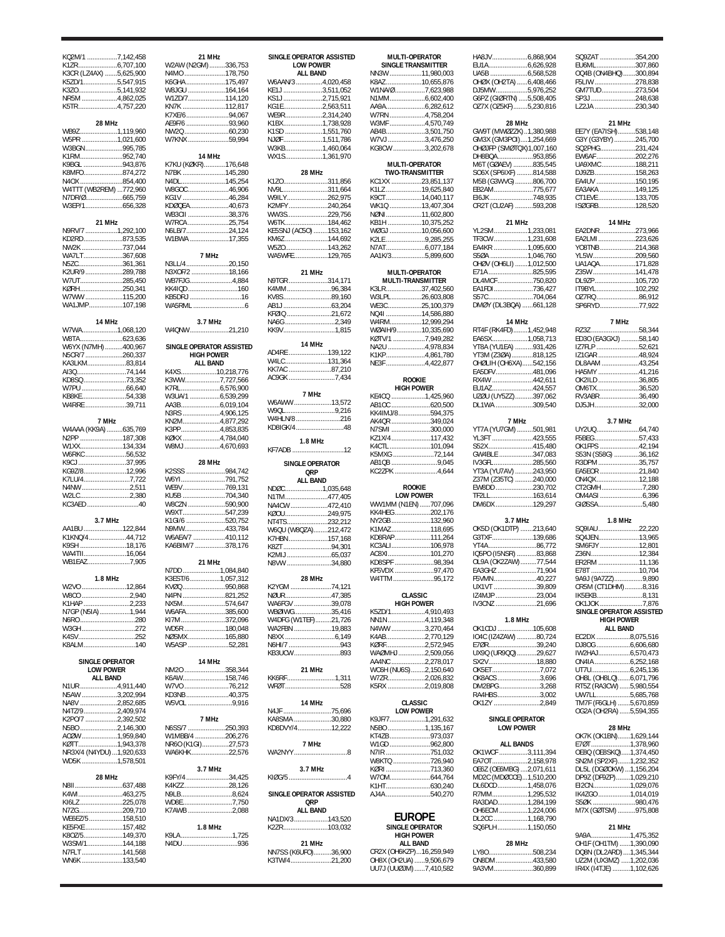| KQ2M/1 7,142,458                          |        |
|-------------------------------------------|--------|
| K1ZR6,707,100                             | N      |
| K3CR (LZ4AX) 5,625,900                    | Ν      |
| K5ZD/15,547,915                           | К      |
| K3ZO5,141,932                             | W      |
| NR5M 4,862,025                            | W      |
| K5TR4,757,220                             | K<br>K |
| 28 MHz                                    | Α      |
| WB9Z1,119,960                             | Ν      |
| W5PR 1,021,600                            | N      |
| W3BGN995,785                              |        |
| K1RM952,740                               |        |
| K9BGL 943,876<br>K8MFO874,272             | K<br>N |
| N4OX 854,400                              | N      |
| W4TTT (WB2REM) 772,960                    | W      |
| N7DR/Ø665,759                             | К      |
| W3EP/1656,328                             | К      |
| 21 MHz                                    | W<br>W |
| N9RV/7 1,292,100                          | N      |
| KD2RD873,535                              | N      |
| NW2K 737,044                              |        |
| WA7LT367,608                              |        |
| N5ZC361,361                               | N      |
| K2UR/9 289,788<br>W7UT285,450             | N<br>W |
| KØRH250,341                               | K      |
| w7ww 115,200                              | К      |
| WA1JMP107,198                             | W      |
|                                           |        |
| 14 MHz                                    |        |
| W7WA1,068,120                             | N      |
| W8TA623,636<br>W6YX (N7MH)400,967         | S      |
| N5CR/7 260,337                            |        |
| KA3LKM83,814                              |        |
| AI3Q74,144                                | K      |
| KD8SQ 73,352                              | К      |
| W7PU 66,640                               | K<br>W |
| W4RRE 39,711                              | Α      |
|                                           | N      |
| 7 MHz                                     | K      |
| W4AAA (KK9A) 635,769                      | К      |
| N2PP 187,308                              | К<br>W |
| W6RKC 56,532                              |        |
| K9CJ37,995                                |        |
| KG9Z/812,996                              | K      |
| K7LU/47,722                               | W      |
| N4NW 2,511                                | W      |
| W2LC2,380<br>KC3AED 40                    | K<br>N |
|                                           | Ν      |
| 3.7 MHz                                   | K      |
| AA1BU 122,844                             | Ν      |
| K1KNQ/444,712                             | W      |
| K9SH 18,176<br>WA4TII16,064               | K      |
| WB1EAZ7,905                               |        |
|                                           | N      |
| 1.8 MHz                                   | Κ      |
| W2VO 12,864                               | K      |
| W8CO 2,940<br>K1HAP 2,233                 | Ν      |
| N7GP (N5IA)1,944                          | Ν<br>N |
| N6RO 280                                  | K      |
| W3GH 272                                  | N      |
| K4SV252                                   | N      |
| K8ALM140                                  | N      |
| <b>SINGLE OPERATOR</b>                    |        |
| <b>LOW POWER</b>                          | N      |
| <b>ALL BAND</b>                           | Κ      |
| N1UR4,911,440                             | N      |
| N5AW 3,202,994                            | K      |
| NA8V 2,852,685                            | N      |
| N4TZ/92,409,974<br>K2PO/7 2,392,502       |        |
| N5BO 2,146,300                            | N      |
| ACØW 1,959,840                            | N      |
| KØTT1,943,378<br>NR3X/4 (N4YDU) 1,920,633 | N      |
|                                           | N      |
| WD5K 1,578,501                            |        |
| 28 MHz                                    | K      |
|                                           | K      |
| K4WI463,275                               | Ν      |
| KI6LZ225,078                              | N      |
| N7ZG209,710<br>WE6EZ/5158,510             | Κ      |
| KE5FXE 157,482                            |        |
|                                           |        |
| K8OZ/5149,370                             | K      |
| W3SM/1144,188                             | Ν      |
| N7FLT 141,568<br>WN6K 133,540             |        |

| 21 MHz                            |  |
|-----------------------------------|--|
| W2AW (N2GM)336,753                |  |
| N4MO 178,750                      |  |
| K6GHA 175,497                     |  |
| W8JGU 164,164                     |  |
| W1ZD/7114,120                     |  |
| KN7K 112,817                      |  |
| K7XE/694,067                      |  |
| AE9F/6 93,960                     |  |
| NW2Q 60,230                       |  |
| W7KNX 59,994                      |  |
|                                   |  |
| 14 MHz                            |  |
| K7KU (KØKR)176,648                |  |
| N7BK 145,280                      |  |
| N4DL145,254                       |  |
| W8GOC 46,906                      |  |
| KG1V 46,284                       |  |
| KDØQEA40,673                      |  |
| WB3CII 38,376                     |  |
| W7RCA 25,754                      |  |
| N6LB/724,124                      |  |
| W1BWA 17,355                      |  |
|                                   |  |
| 7 MHz                             |  |
| N3LL/420,150                      |  |
|                                   |  |
| N3XOF/2 18,166                    |  |
| WB7FJG4,884                       |  |
| KK4IQD 160                        |  |
| KB5DRJ 16                         |  |
| <br>WA5RML 6                      |  |
|                                   |  |
| 3.7 MHz                           |  |
| W4QNW 21,210                      |  |
|                                   |  |
| SINGLE OPERATOR ASSISTED          |  |
| <b>HIGH POWER</b>                 |  |
| <b>ALL BAND</b>                   |  |
| K4XS10,218,776                    |  |
| K3WW7,727,566                     |  |
| K7RL6,576,900                     |  |
| W3UA/1 6,539,299                  |  |
| AA3B6,019,104                     |  |
| N3RS 4,906,125                    |  |
| KN2M4,877,292                     |  |
| K3PP4,853,835                     |  |
| KØKX 4,784,040                    |  |
|                                   |  |
| W8MJ4,670,693                     |  |
|                                   |  |
| 28 MHz                            |  |
|                                   |  |
| K2SSS 984,742                     |  |
| W6YI791,752                       |  |
| WE9V769,131                       |  |
|                                   |  |
| KU5B 704,340                      |  |
| W8CZN 590,900                     |  |
| W9XT547,239                       |  |
|                                   |  |
| K1GI/6 520,752<br>N9MW433,784     |  |
| W6AEA/7 410,112                   |  |
| KA6BIM/7 378,176                  |  |
|                                   |  |
| 21 MHz                            |  |
| N7DD 1,084,840                    |  |
| K3EST/61,057,312                  |  |
| KVØQ 950,868                      |  |
|                                   |  |
| N4PN 821,252<br>NX5M574,647       |  |
| W6AFA385,600                      |  |
| KI7M 372,096                      |  |
|                                   |  |
| WD5R 180,048                      |  |
| NØSMX165,880                      |  |
| W5ASP 52,281                      |  |
| 14 MHz                            |  |
|                                   |  |
| NM20 358,344                      |  |
| K6AW158,746                       |  |
| W7VO 76,212                       |  |
| KD3NB40,375                       |  |
| W5VOL 9,916                       |  |
| 7 MHz                             |  |
|                                   |  |
| N6SS/7 250,393<br>W1MBB/4 206,276 |  |
|                                   |  |
| NR6O (K1GI)27,573<br>WA6KHK22,576 |  |
|                                   |  |
| 3.7 MHz                           |  |
|                                   |  |
| K9FY/4 34,425                     |  |
| K4KZZ 28,126                      |  |
| N9LB8,624                         |  |
| WD8E7,750                         |  |
| K7AWB 2,088                       |  |
|                                   |  |
| 1.8 MHz                           |  |
| K9LA1,725                         |  |
|                                   |  |
| N4DU 936                          |  |
|                                   |  |

| SINGLE OPERATOR ASSISTED<br><b>LOW POWER</b><br><b>ALL BAND</b>                                                                                                           |  |
|---------------------------------------------------------------------------------------------------------------------------------------------------------------------------|--|
| W6AAN/3 4,020,458<br>KE1J 3,511,052<br>2,715,921<br>KG1E2,563,511<br>WE9R2,314,240<br>K1BX1,738,928<br>K1SD 1,551,760<br>NJØF 1,511,786<br>W3KB1,460,064<br>WX1S1,361,970 |  |
| 28 MHz<br>K1ZO311,856                                                                                                                                                     |  |
| NV9L311,664<br>W9ILY262,975<br>K2MFY240,264<br>WW3S229,756<br>W6TK 184,462<br>KE5SNJ (AC5O) 153,162<br>KM6Z 144,692<br>W5ZO143,262<br>WA5WFE129,765                       |  |
| 21 MHz                                                                                                                                                                    |  |
| N9TGR314,171<br>K4MM96,384<br>KV8S89,160<br>KFØIQ 21,672<br>NA6G 2,349<br>KK9V1,815                                                                                       |  |
| 14 MHz<br>AD4RE 139,122                                                                                                                                                   |  |
| W4LC131,364<br>KK7AC 87,210<br>AC9GK 7,434                                                                                                                                |  |
| 7 MHz<br>W6AWW13,572<br>W9QL9,216<br>W4HLN/8 216<br>KD8IGK/448                                                                                                            |  |
| 1.8 MHz<br>KF7ADB 12<br>SINGLE OPERATOR                                                                                                                                   |  |
| <b>QRP</b><br><b>ALL BAND</b>                                                                                                                                             |  |
| NDØC1,035,648<br>N1TM477,405<br>NA4CW 472,410<br>KØOU 249,975<br>NT4TS232,212<br>W6QU (W8QZA)212,472<br>K7HBN157,168<br>K8ZT94,301<br>K2MIJ 65,037<br>N8VW 34,880         |  |
| 28 MHz<br>K2YGM 74,121                                                                                                                                                    |  |
|                                                                                                                                                                           |  |
| NØUR47,385<br>WA6FGV 39,078<br>WBØIWG35,416<br>W4DFG (W1TEF)21,726<br>WA2FBN 19,883<br>N8XX 6,149<br>N6HI/7 943<br>KB3UCW893                                              |  |
| 21 MHz<br>KK6RF1,311<br>WFØT 528                                                                                                                                          |  |
| 14 MHz<br>N4JF 75,696<br>KA8SMA 30,880                                                                                                                                    |  |
| KD8DVY/412,222<br>7 MHz<br>WA2NYY 8                                                                                                                                       |  |
| 3.7 MHz                                                                                                                                                                   |  |
| SINGLE OPERATOR ASSISTED                                                                                                                                                  |  |
| QRP<br><b>ALL BAND</b><br>NA1DX/3143,520<br>K2ZR103,032                                                                                                                   |  |

| D | MULTI-OPERATOR                              |        |
|---|---------------------------------------------|--------|
|   | SINGLE TRANSMITTER                          |        |
|   | NN3W 11,980,003<br>K8AZ 10,655,876          |        |
|   | W1NA/Ø 7,623,988                            |        |
|   | N1MM6,602,400<br>AA9A6,282,612              |        |
|   | W7RN 4,758,204                              |        |
|   | W3MF 4,570,749                              |        |
|   | AB4B3,501,750<br>W7VJ3,476,250              |        |
|   | KG8CW 3,202,678                             |        |
|   | MULTI-OPERATOR                              |        |
|   | <b>TWO-TRANSMITTER</b>                      |        |
|   | KC1XX 23,851,137<br>K1LZ 19,625,840         |        |
|   | 14,040,117<br>K9CT                          |        |
|   | WK10 13,407,304                             |        |
|   | NØNI11,602,800<br>KB1H 10,375,252           |        |
|   | WØGJ 10,056,600                             |        |
|   |                                             |        |
|   | N7AT6,077,184<br>AA1K/35,899,600            |        |
|   | MULTI-OPERATOR                              |        |
|   | MULTI-TRANSMITTER                           |        |
|   | K3LR37,402,560                              |        |
|   | W3LPL26,603,808<br>WE3C25,100,379           |        |
|   | NQ41 14,586,880                             |        |
|   | W4RM12,999,294                              |        |
|   | WØAIH/910,335,690<br>KØTV/1 7,949,282       |        |
|   | NA2U 4,978,834                              |        |
|   | K1KP4,861,780                               |        |
|   | NE3F 4,422,877                              |        |
|   | <b>ROOKIE</b>                               |        |
|   | <b>HIGH POWER</b><br>KE4CQ 1,425,960        |        |
|   | AB1OC 620,500                               |        |
|   | KK4IMJ/8594,375                             |        |
|   | AK4QR 349,024<br>N7SMI 300,000              |        |
|   | KZ1X/4117,432                               |        |
|   | K4CTL 101,094                               |        |
|   | K5MXG 72,144<br>AB1QB 9,045                 |        |
|   | KC2ZPK 4,644                                |        |
|   | <b>ROOKIE</b>                               |        |
|   | <b>LOW POWER</b>                            |        |
|   | WW1MM (N1EN) 707,096<br>KK4HEG 202,176      |        |
|   | NY2GB 132,960                               |        |
|   | K1MAZ118,695                                |        |
|   | KD8RAP111,264<br>KC3ALI106,978              |        |
|   | AC8XI101,270                                |        |
|   | KD8SPF 98,394                               |        |
|   | KF5VDX<br>W4TTM95,172                       | 97.470 |
|   |                                             |        |
|   | <b>CLASSIC</b><br><b>HIGH POWER</b>         |        |
|   | K5ZD/14,910,493                             |        |
|   | NN1N4,119,348                               |        |
|   | N4WW 3,270,464<br>K4AB2,770,129             |        |
|   | KØRF2,572,945                               |        |
|   | WAØMHJ2,509,056                             |        |
|   | АА4NC 2,278,017<br>WC6H (NU6S) 2,150,640    |        |
|   | W7ZR2,026,832                               |        |
|   | K5RX 2,019,808                              |        |
|   | <b>CLASSIC</b>                              |        |
|   | <b>LOW POWER</b>                            |        |
|   | K9JF/71,291,632<br>N5BO 1,135,167           |        |
|   | KT4ZB973,037                                |        |
|   | W1GD 962,800                                |        |
|   | N7IR 751,032<br>W8KTQ 726,940               |        |
|   | KØRI 713,360                                |        |
|   | W70M644,764<br>K1HT630,240                  |        |
| D | AJ4A 540,270                                |        |
|   |                                             |        |
|   | EUROPE                                      |        |
|   | <b>SINGLE OPERATOR</b><br><b>HIGH POWER</b> |        |
|   | <b>ALL BAND</b>                             |        |
|   |                                             |        |
|   | CR2X (OH6KZP)16,259,949                     |        |
|   | OH8X (OH2UA) 9,506,679                      |        |
|   | UU7J (UUØJM)7,410,582                       |        |

| <b>TOR</b>                        | HA8JV6,868,904                                   |  |
|-----------------------------------|--------------------------------------------------|--|
| <b>AITTER</b>                     |                                                  |  |
| ,980,003                          | UA5B 6,568,528                                   |  |
| ,655,876                          | ОНØХ (ОН2ТА) 6,408,466                           |  |
| ,623,988                          | DJ5MW5,976,252                                   |  |
| ,602,400<br>,282,612              | G6PZ (GIØRTN) 5,508,405<br>OZ7X (OZ5KF)5,230,816 |  |
| ,758,204                          |                                                  |  |
| ,570,749                          | 28 MHz                                           |  |
| ,501,750                          | GW9T (MWØZZK)1,380,988                           |  |
| ,476,250                          | GM3X (GM3POI)1,254,669                           |  |
| ,202,678                          | OHØJFP (SMØTQX)1,007,160                         |  |
|                                   | DH8BQA953,856                                    |  |
| .TOR<br><b>TTER</b>               | M6T (GØAEV) 835,545<br>SO6X (SP6IXF) 814,588     |  |
| ,851,137                          | M5B (G3WVG) 806,700                              |  |
| ,625,840                          | EB2AM775,677                                     |  |
| ,040,117                          | EI6JK 748,935                                    |  |
| ,407,304                          | CR2T (CU2AF) 593,208                             |  |
| ,602,800<br>,375,252              |                                                  |  |
| ,056,600                          | 21 MHz<br>YL2SM1,233,081                         |  |
| ,285,255                          | TF3CW 1,231,608                                  |  |
| ,077,184                          | EA4KR 1,095,600                                  |  |
| ,899,600                          | S50A 1,046,760                                   |  |
|                                   | OHØV (OH6LI) 1,012,500                           |  |
| .TOR                              | E71A 825,595                                     |  |
| IITTER                            | DL4MCF750,820                                    |  |
| ,402,560<br>,603,808              | EA1FDI736,427<br>S57C704,064                     |  |
| ,100,379                          | DMØY (DL3BQA) 661,128                            |  |
| ,586,880                          |                                                  |  |
| ,999,294                          | 14 MHz                                           |  |
| ,335,690                          | RT4F (RK4FD)1,452,948                            |  |
| ,949,282                          | EA6SX1,058,713                                   |  |
| ,978,834                          | YT8A (YU1EA) 931,426                             |  |
| ,861,780<br>,422,877              | YT3M (Z3ØA)818,125<br>OHØLIH (OH6XA)542,156      |  |
|                                   | EA5DFV481,096                                    |  |
|                                   | RX4W 442,611                                     |  |
| ΞR                                | EU1AZ424,557                                     |  |
| ,425,960                          | UZØU (UY5ZZ)397,062                              |  |
| .620,500                          | DL1WA 309,540                                    |  |
| .594,375<br>.349,024              | 7 MHz                                            |  |
| .300,000                          | YT7A (YU7GM) 501,981                             |  |
| .117,432                          | YL3FT 423,555                                    |  |
| .101,094                          | S52X415,480                                      |  |
| 72,144                            | GW4BLE 347,083                                   |  |
| 9,045                             | IV3GFL285,560                                    |  |
| 4,644                             | YT3A (YU7AV) 243,950                             |  |
|                                   | Z37M (Z35TC) 240,000<br>EW8DD 230,702            |  |
| R                                 | TF2LL163,614                                     |  |
| .707,096                          | DM6DX 129,297                                    |  |
|                                   |                                                  |  |
| .202,176                          |                                                  |  |
|                                   | 3.7 MHz                                          |  |
| .132,960<br>.118,695              | OK5D (OK1DTP) 213,640                            |  |
| .111,264                          | G3TXF 139,686                                    |  |
| .106,978                          | YT4A 86,772                                      |  |
| .101,270<br>98,394                | IQ5PO (I5NSR) 83,868                             |  |
| 97,470                            | OL9A (OK2ZAW) 77,544<br>EA3GHZ 71,904            |  |
| 95,172                            | F5VMN40,227                                      |  |
|                                   | UX1VT 39,809                                     |  |
|                                   | IZ4MJP 23,004                                    |  |
| ΞR                                | IV3CNZ 21,696                                    |  |
| ,910,493                          | 1.8 MHz                                          |  |
| ,119,348<br>,270,464              | OK1CDJ 105,608                                   |  |
| ,770,129                          | IO4C (IZ4ZAW) 80,724                             |  |
| ,572,945                          | E7ØR39,240                                       |  |
| ,509,056                          | UX9Q (UR9QQ) 29,627                              |  |
| ,278,017                          | SX2V18.880                                       |  |
| ,150,640                          | OK5ET7,072                                       |  |
| ,026,832<br>,019,808              | OK8ACS3,696<br>DM2BPG3,268                       |  |
|                                   | RA4HBS3,002                                      |  |
|                                   | OK1ZY 2,849                                      |  |
| R                                 |                                                  |  |
| ,291,632                          | <b>SINGLE OPERATOR</b>                           |  |
| ,135,167                          | <b>LOW POWER</b>                                 |  |
| .973,037<br>.962,800              | <b>ALL BANDS</b>                                 |  |
| .751,032                          | OK1WCF 3,111,394                                 |  |
| .726,940                          | EA70T2,158,978                                   |  |
|                                   | OE6Z (OE6MBG) 2,071,611                          |  |
| .713,360<br>.644,764              | MD2C (MDØCCE)1,510,200                           |  |
| .630,240                          | DL6DCD1,458,076                                  |  |
|                                   | R7MM1,295,532<br>RA3DAD1,284,199                 |  |
|                                   | OH6ECM 1,224,006                                 |  |
|                                   | DL2CC 1,168,790                                  |  |
|                                   | SQ6PLH1,150,050                                  |  |
|                                   |                                                  |  |
| .540,270<br>Ł<br><b>ITOR</b><br>R | 28 MHz                                           |  |
| ,259,949<br>,506,679              | LY80508,234<br>ON8DM 433,580                     |  |
| ,410,582                          | 9A3VM360,899                                     |  |

| SQ9ZAT 354,200                                  |  |
|-------------------------------------------------|--|
| EU6ML307,860                                    |  |
| OQ4B (ON4BHQ)300,894                            |  |
| F5LIW 278,838<br>GM7TUD273,504                  |  |
| SP3J 248,638                                    |  |
| LZ2JA 230,340                                   |  |
|                                                 |  |
| 21 MHz<br>EE7Y (EA7ISH)538,148                  |  |
| G3Y (G3YBY) 245,700                             |  |
| SQ2PHG231,424                                   |  |
| EW6AF 202,276                                   |  |
| UA9XMC 188,211<br>DJ9ZB158,263                  |  |
| EA4UV 150,195                                   |  |
| EA3AKA 149,125                                  |  |
| CT1EVE133,705                                   |  |
| ISØGRB128,520                                   |  |
| 14 MHz                                          |  |
| EA2DNR273,966                                   |  |
| EA2LMI223,626<br>YO8TNB214,368                  |  |
| YL5W209,560                                     |  |
| UA1AQA171,828                                   |  |
| Z35W 141,478                                    |  |
| DL9ZP105,720<br>IT9BYL102,292                   |  |
| 0Z7RQ 86,912                                    |  |
| SP6RYD77,922                                    |  |
|                                                 |  |
| 7 MHz<br>RZ3Z58,344                             |  |
| ED30 (EA3GXJ) 58,140                            |  |
| IZ7FLP 52,621                                   |  |
| IZ1GAR 48,924                                   |  |
| DL8AAM 43,254<br>HA5MY 41,216                   |  |
| OK2ILD 36,805                                   |  |
| OM6TX36,520                                     |  |
| RV3ABR36,490                                    |  |
| DJ5JH32,000                                     |  |
| 3.7 MHz                                         |  |
| UY2UQ64,740                                     |  |
| F5BEG57,433<br>OK1FPS 42,194                    |  |
| S53N (S58G) 36,162                              |  |
| R3DPM35,757                                     |  |
| EA5EOR 21,840<br>ON4QX12,188                    |  |
| CT2GMH7,280                                     |  |
| 0M4ASI 6,396                                    |  |
| GIØSSA5,480                                     |  |
| 1.8 MHz                                         |  |
| SQ9IAU 22,220                                   |  |
| SQ4JEN13,965                                    |  |
| SM6FJY 12,801<br>Z36N12,384                     |  |
| ER2RM 11,136                                    |  |
| E78T                                            |  |
| 9A9J (9A7ZZ)9,890                               |  |
| CR5M (CT1DHM)8,316<br>IK5EKB8,131               |  |
| OK1JOK 7,876                                    |  |
| SINGLE OPERATOR ASSISTED                        |  |
| <b>HIGH POWER</b><br><b>ALL BAND</b>            |  |
| EC2DX 8,075,516                                 |  |
| DJ8OG 6,606,680<br>IW2HAJ 6,570,473             |  |
| ON4IA 6,252,168                                 |  |
| UT7U6,245,136                                   |  |
| OH8L (OH8LQ)6,071,796                           |  |
| RT5Z (RA3CW) 5,980,554                          |  |
| UW7LL5,685,768<br>TM7F (F6GLH) 5,670,859        |  |
| OG2A (OH2RA) 5,594,355                          |  |
|                                                 |  |
| 28 MHz<br>OK7K (OK1BN)1,629,144                 |  |
|                                                 |  |
| E7ØT 1,378,960<br>OE8Q (OE8SKQ) 1,374,450       |  |
| SN2M (SP2XF)1,232,352                           |  |
| DL5L (DGØOKW)1,156,204<br>DP9Z (DF9ZP)1,029,210 |  |
| EI2CN1,029,076                                  |  |
| IK4ZGO 1,014,019                                |  |
| S50K 980,476<br>M7X (GØTSM) 975,808             |  |
|                                                 |  |

| 21 MHz                   |  |
|--------------------------|--|
| 9A9A1.475.352            |  |
| OH1F (OH1TM) 1,390,090   |  |
| DQ8N (DL2ARD)  1,345,344 |  |
| UZ2M (UX3MZ) 1,202,036   |  |
| IR4X (I4TJE) 1,102,626   |  |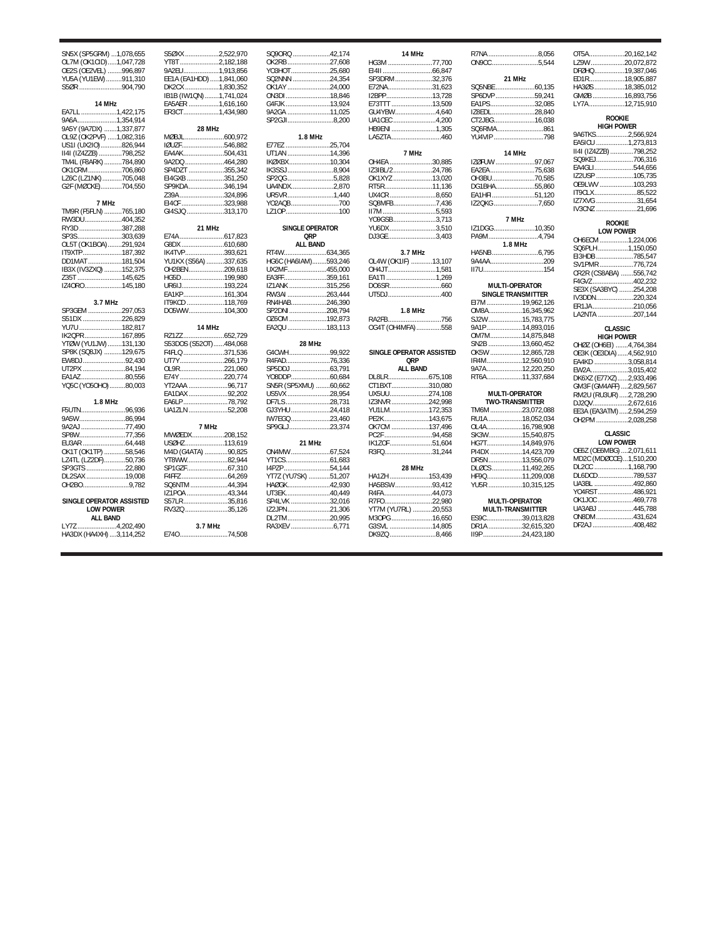| SN5X (SP5GRM)  1,078,655 | S50XX              |
|--------------------------|--------------------|
| OL7M (OK1CID)1,047,728   | YT8T               |
| OE2S (OE2VEL) 996,897    | 9A2EU              |
| YU5A (YU1EW) 911,310     | EE1A (EA1HD        |
| S50R 904,790             | <b>DK2CX</b>       |
|                          | IB1B (IW1QN        |
| 14 MHz                   | EA5AER             |
| EA7LL 1,422,175          | <b>ER3CT</b>       |
| 9A6A1,354,914            |                    |
| 9A5Y (9A7DX) 1,337,877   | $\overline{a}$     |
|                          |                    |
| OL9Z (OK2PVF) 1,082,316  | MØBJL              |
| US1I (UX2IO)826,944      | <b>IØUZF</b>       |
| II4I (IZ4ZZB) 798,252    | <b>EA4AK</b>       |
| TM4L (F8ARK) 784,890     | 9A2DQ              |
| OK1CRM706,860            | SP4DZT             |
| LZ6C (LZ1NK)705,048      | EI4GXB             |
| G2F (MØCKE)704,550       | SP9KDA             |
|                          | Z39A               |
| 7 MHz                    | EI4CF              |
| TM9R (F5FLN) 765,180     | GI4SJQ             |
| RW3DU404,352             |                    |
| RY3D 387,288             | $\overline{a}$     |
| SP3S303,639              | E74A               |
| OL5T (OK1BOA)291,924     | G8DX               |
| IT9XTP187,392            | IK4TVP             |
| DD1MAT 181,504           | <b>YU1KX (S56/</b> |
| IB3X (IV3ZXQ) 152,375    | OH2BEN             |
| Z35T 145,625             | HG5D               |
| IZ40R0145,180            | UR6IJ              |
|                          | EA1KP              |
| 3.7 MHz                  | IT9KCD             |
| SP3GEM 297,053           | DO5WW              |
| S51DX 226,829            |                    |
| YU7U 182,817             | $\mathbf{1}$       |
| IK2QPR167,895            | RZ1ZZ              |
| YTØW (YU1JW) 131,130     | S53DOS (S52        |
| SP8K (SQ8JX) 129,675     | F4FLQ              |
| EW8DJ 92,430             | UT7Y               |
| UT2PX 84,194             | OL9R               |
| EA1AZ80,556              | E74Y               |
| ҮQ5С (ҮО5ОНО) 80,003     | YT2AAA             |
|                          | EA1DAX             |
|                          |                    |
| 1.8 MHz                  | EA6LP              |
| F5UTN96,936              | <b>UA1ZLN</b>      |
| 9A5W86,994               |                    |
| 9A2AJ 77,490             | ī                  |
| SP8W77,356               | MWØEDX             |
|                          | <b>USØHZ</b>       |
| OK1T (OK1TP) 58,546      | M4D (G4ATA         |
| LZ4TL (LZ2DF)50,736      | YT8WW              |
| SP3GTS 22,880            | SP1GZF             |
| DL2SAX 19,008            | F4FFZ              |
| OH2BO9,782               | SQ6NTM             |
|                          | IZ1POA             |
| SINGLE OPERATOR ASSISTED | S57LR              |
| <b>LOW POWER</b>         | RV3ZQ              |
|                          |                    |

|  | LUW FUWLN       |  |
|--|-----------------|--|
|  | <b>ALL BAND</b> |  |

LY7Z ......................4,202,490 HA3DX (HA4XH) ....3,114,252

 $.2,522,970$ YT8T ......................2,182,188 9A2EU....................1,913,856 EE1A (EA1HDD).....1,841,060 ....<sup>.</sup>.......1,830,352<br>0........1,741,024 IB1B (IW1QN)........1,741,024 EA5AER .................1,616,160 ER3CT....................1,434,980 **28 MHz**  $0.600,972$ .546,882  $.504,431$ 9A2DQ ......................464,280 Sp<sub>3</sub>55,342  $.351,250$ .346,194 Z39A .........................324,896  $.323,988$  $.313,170$ **21 MHz** E74A .........................617,823 G8DX ........................610,680 IK4TVP......................393,621 YU1KX (S56A) ..........337,635 OH2BEN....................209,618 .199,980 UR6IJ........................193,224  $.161,304$ ..............118,769 ..104.300 **14 MHz** RZ1ZZ.......................652,729 S53DOS (S52OT)......484,068 F4FLQ .......................371,536 UT7Y.........................266,179  $.221,060$ E74Y .........................220,774 YT2AAA ......................96,717  $.92,202$ EA6LP.........................78,792 .52,208 **7 MHz**  $.208,152$  $.113,619$ .90.825  $.82,944$  $.67,310$ F4FFZ ..........................64,269 SQ6NTM .....................44,394 .43,344 35816  $.35,126$ **3.7 MHz** E74O...........................74,508 SQ9ORQ ......................42,<br>OK2RB ..........................27, OK2RB ........................27,608 YO3HOT......................25,680 SQ2NNN .....................24,354 OK1AY ........................24,000 ON3DI.........................18,846 G4FJK .........................13,924 9A2GA ..........................11, SP2GJI..........................8, **1.8 MHz** E77EZ .........................25,704 UT1AN ........................14,396 **IKØXBX** IK3SSJ............................8,<br>SP2QG............................5, SP2QG ..........................5,828 UA4NDX........................2,870 UR5VR..........................1,440 YO2AQB...........................700  $LZ1OP$ ... **SINGLE OPERATOR QRP ALL BAND** RT4W........................634,365 HG6C (HA6IAM)........593,246 UX2MF......................455,000 EA3FF........................359,161 .<br>IZ1ANK ........................315<br>RW3AI .......................263 RW3AI ......................263,444 RN4HAB.....................246,<br>SP2DNI 208 SP2DNI......................208,<br>0Z60M .....................192, OZ6OM .....................192,873  $EA2QU$ **28 MHz** G4CWH.......................99,922 R4FAD.........................76,336 SP5DDJ ......................63,791 YO8DDP......................60,684 SN5R (SP5XMU) ........60,662 US5VX ........................28,954 DF7LS.........................28,731 GJ3YHU ......................24,418 IW7EGQ ..........................23,<br>SP9GLJ .........................23, SP9GLJ. **21 MHz** ON4MW ......................67,524 YT1CS.........................61,683 I4PZP..........................54,144 YT7Z (YU7SK) ............51,207 HAØGK........................42,930 UT3EK.........................40,449 SP4LVK ......................32,<br>IZ2JPN ........................21, IZ2JPN........................21,306 DL2TM........................20,995 RA3XEV

| 174 | 14 MHz                   |
|-----|--------------------------|
| 608 | HG3M 77,700              |
| 680 |                          |
| 354 | SP3DRM32,376             |
|     |                          |
| 000 | E72NA31,623              |
| 846 | I2BPP13,728              |
| 924 | E73TTT 13,509            |
| 025 | GU4YBW4,640              |
| 200 | UA1CEC 4,200             |
|     | HB9ENI 1,305             |
|     | LA5ZTA460                |
|     |                          |
| 704 |                          |
| 396 | 7 MHz                    |
| 304 | OH4EA 30,885             |
| 904 | IZ3IBL/224,786           |
| 828 | OK1XYZ 13,020            |
| 870 | RT5R11,136               |
|     |                          |
| 440 | UX4CR 8,650              |
| 700 | SQ8MFB7,436              |
| 100 | $II7M$ 5,593             |
|     | YO9GSB3,713              |
|     | YU6DX 3,510              |
|     | DJ3GE3,403               |
|     |                          |
|     |                          |
| 365 | 3.7 MHz                  |
| 246 | OL4W (OK1IF) 13,107      |
| 000 | OH4JT1,581               |
| 161 | EA1TI 1,269              |
| 256 |                          |
| 444 | UT5DJ400                 |
| 390 |                          |
| 794 | 1.8 MHz                  |
| 873 | RA2FB756                 |
| 113 | OG4T (OH4MFA)558         |
|     |                          |
| 922 | SINGLE OPERATOR ASSISTED |
| 336 | QRP                      |
| 791 | <b>ALL BAND</b>          |
| 684 |                          |
| 662 | CT1BXT310,080            |
|     |                          |
| 954 | UX5UU274,108             |
| 731 | IZ3NVR 242,998           |
| 418 | YU1LM172,353             |
| 460 | PE2K143,675              |
| 374 | OK7CM 137,496            |
|     | PC2F 94,458              |
|     | IK1ZOF51,604             |
| 524 | R3FQ31,244               |
| 683 |                          |
| 144 | 28 MHz                   |
| 207 | HA1ZH 153,439            |
| 930 |                          |
|     | HA5BSW93,412             |
| 449 | R4FA44,073               |
| 016 | R7F022,980               |
| 306 | YT7M (YU7RL) 20,553      |
| 995 | M30PG 16,650             |
| 771 | G3SVL 14,805             |
|     | DK9ZQ 8,466              |

| 4 MHz                 | R7NA 8,056<br>ON9CC5,544            |
|-----------------------|-------------------------------------|
| 77,700                |                                     |
| 66,847                |                                     |
| 32,376                | 21 MHz                              |
| 31,623                | SQ5NBE60,135                        |
| 13,728                | SP6DVP59,241                        |
| 13,509                | EA1PS32,085                         |
| 4,640                 | IZ8EDL28,840                        |
| 4,200                 | CT2JBG16,038                        |
| 1,305                 | SQ6RMA861                           |
| 460                   | YU4VIP 798                          |
|                       |                                     |
| 7 MHz                 | 14 MHz                              |
| 30,885                | IZØFUW 97,067                       |
| 24,786                | EA2EA75,638                         |
| 13,020                | OH3BU70,585                         |
| 11,136                | DG1BHA55,860                        |
| 8,650                 | EA1HFI51,120                        |
| 7,436                 | IZ2QKG 7,650                        |
| 5,593                 |                                     |
| 3,713                 | 7 MHz                               |
| 3,510                 | IZ1DGG10,350                        |
| 3,403                 | PA9M4,794                           |
|                       | 1.8 MHz                             |
| .7 MHz                |                                     |
| F) 13,107             | 9A4AA209                            |
| 1,581                 |                                     |
|                       |                                     |
| 1,269                 |                                     |
|                       | <b>MULTI-OPERATOR</b>               |
| 660                   |                                     |
| 400                   | SINGLE TRANSMITTER                  |
| .8 MHz                | EI7M 19,962,126                     |
|                       | OM8A16,345,962                      |
| 756                   | SJ2W15,783,775                      |
| AFA)558               | 9A1P14,893,016                      |
|                       | OM7M14,875,848                      |
|                       | SN2B 13,660,452                     |
| <b>RATOR ASSISTED</b> | OK5W 12,865,728                     |
| QRP                   | IR4M12,560,910                      |
| L BAND                | 9A7A12,220,250                      |
| 675,108               | RT6A11,337,684                      |
| 310,080               |                                     |
| 274,108               | MULTI-OPERATOR                      |
| 242,998               | <b>TWO-TRANSMITTER</b>              |
| 172,353               | TM6M 23,072,088                     |
| 143,675               | RU1A 18,052,034                     |
| 137,496               | OL4A16,798,908                      |
| 94,458                | SK3W15,540,875                      |
| 51,604                | HG7T14,849,976                      |
| 31,244                | PI4DX 14,423,709                    |
|                       | DR5N 13,556,079                     |
| 28 MHz                | DLØCS 11,492,265                    |
| 153,439               | HF9Q11,209,008                      |
| 93,412                | YU5R 10,315,125                     |
| 44,073                |                                     |
| 22,980<br>RL) 20,553  | MULTI-OPERATOR<br>MULTI-TRANSMITTER |

ES9C....................39,013,828<br>DR1A 32615.320 DR1A ...................32,615,320 II9P......................24,423,180

| OT5A20,162,142   |
|------------------|
| LZ9W 20.072.872  |
| DFØHQ 19.387.046 |
| ED1R18.905.887   |
| HA3ØS 18,385.012 |
| GMØB 16.893.756  |
| LY7A12.715.910   |
|                  |

# **ROOKIE HIGH POWER**

| 9A6TKS2.566.924       |  |
|-----------------------|--|
| EA5ICU 1,273,813      |  |
| II4I (IZ4ZZB) 798,252 |  |
| SQ9KEJ706.316         |  |
| EA4GLI544.656         |  |
| IZ2USP 105.735        |  |
| OE9LWV 103.293        |  |
| IT9CLX85.522          |  |
| IZ7XVG 31.654         |  |
| IV3CNZ 21.696         |  |

**ROOKIE**

| <b>LOW POWER</b>      |  |
|-----------------------|--|
| OH6ECM 1.224.006      |  |
| SQ6PLH1,150,050       |  |
| EI3HDB 785.547        |  |
| SV1PMR776.724         |  |
| CR2R (CS8ABA) 556,742 |  |
| F4GVZ402.232          |  |
| SE3X (SA3BYC) 254,208 |  |
| IV3DDN220.324         |  |
| ER1JA210,056          |  |
| LA2NTA 207,144        |  |

# **CLASSIC**

| <b>HIGH POWER</b>       |  |  |  |  |  |  |
|-------------------------|--|--|--|--|--|--|
| OHØZ (OH6EI) 4,764,384  |  |  |  |  |  |  |
| OE3K (OE3DIA)4,562,910  |  |  |  |  |  |  |
| EA4KD 3.058.814         |  |  |  |  |  |  |
| EW2A3,015,402           |  |  |  |  |  |  |
| DK6XZ (E77XZ)2,933,496  |  |  |  |  |  |  |
| GM3F (GM4AFF) 2,829,567 |  |  |  |  |  |  |
| RM2U (RU3UR) 2,728,290  |  |  |  |  |  |  |
| DJ20V2.672.616          |  |  |  |  |  |  |
| EE3A (EA3ATM)2,594,259  |  |  |  |  |  |  |
| OH2PM 2.028.258         |  |  |  |  |  |  |

# **CLASSIC LOW POWER**

| . . <i>.</i>            |  |
|-------------------------|--|
| OE6Z (OE6MBG) 2,071,611 |  |
| MD2C (MDØCCE)1,510,200  |  |
| DL2CC 1.168.790         |  |
| DL6DCD789.537           |  |
| UA3BL 492.860           |  |
| YO4RST486.921           |  |
| OK1JOC 469.778          |  |
| UA3ABJ 445.788          |  |
|                         |  |
| DF2AJ 408.482           |  |
|                         |  |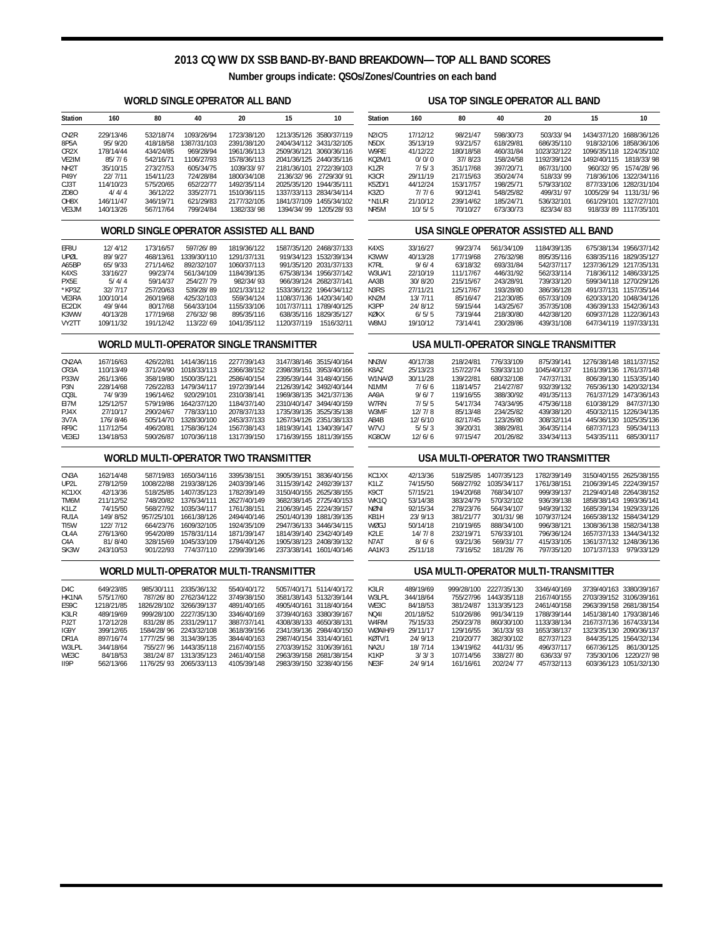# **2013 CQ WW DX SSB BAND-BY-BAND BREAKDOWN—TOP ALL BAND SCORES**

**Number groups indicate: QSOs/Zones/Countries on each band**

### **WORLD SINGLE OPERATOR ALL BAND**

## **USA TOP SINGLE OPERATOR ALL BAND**

| <b>Station</b>                          | 160                                     | 80                      | 40                                    | 20                                     | 15                                                 | 10                                                 | <b>Station</b>                | 160                 | 80                                    | 40                                    | 20                                   | 15                                                 | 10                                               |
|-----------------------------------------|-----------------------------------------|-------------------------|---------------------------------------|----------------------------------------|----------------------------------------------------|----------------------------------------------------|-------------------------------|---------------------|---------------------------------------|---------------------------------------|--------------------------------------|----------------------------------------------------|--------------------------------------------------|
| CN <sub>2R</sub>                        | 229/13/46                               | 532/18/74               | 1093/26/94                            | 1723/38/120                            |                                                    | 1213/35/126 3580/37/119                            | N2IC/5                        | 17/12/12            | 98/21/47                              | 598/30/73                             | 503/33/94                            | 1434/37/120 1688/36/126                            |                                                  |
| 8P5A                                    | 95/9/20                                 | 418/18/58               | 1387/31/103                           | 2391/38/120                            |                                                    | 2404/34/112 3431/32/105                            | N <sub>5</sub> DX             | 35/13/19            | 93/21/57                              | 618/29/81                             | 686/35/110                           |                                                    | 918/32/106 1858/36/106                           |
| CR <sub>2</sub> X                       | 178/14/44                               | 434/24/85               | 969/28/94                             | 1961/36/113                            |                                                    | 2509/36/121 3060/36/116                            | W9RE                          | 41/12/22            | 180/18/58                             | 460/31/84                             | 1023/32/122                          | 1096/35/118 1224/35/102                            |                                                  |
| VE2IM                                   | 85/7/6                                  | 542/16/71               | 1106/27/93                            | 1578/36/113<br>1039/33/97              |                                                    | 2041/36/125 2440/35/116                            | KQ2M/1                        | 0/0/0               | 37/8/23                               | 158/24/58                             | 1192/39/124                          | 1492/40/115 1818/33/98                             |                                                  |
| NH <sub>2</sub> T<br><b>P49Y</b>        | 35/10/15<br>22/7/11                     | 273/27/53<br>154/11/23  | 605/34/75<br>724/28/84                | 1800/34/108                            |                                                    | 2181/36/101 2722/39/103<br>2136/32/96 2729/30/91   | K1ZR<br>K3CR                  | 7/5/3<br>29/11/19   | 351/17/68<br>217/15/63                | 397/20/71<br>350/24/74                | 867/31/100<br>518/33/99              |                                                    | 960/32/95 1574/28/96<br>718/36/106 1322/34/116   |
| CJ3T                                    | 114/10/23                               | 575/20/65               | 652/22/77                             | 1492/35/114                            | 2025/35/120 1944/35/111                            |                                                    | K5ZD/1                        | 44/12/24            | 153/17/57                             | 198/25/71                             | 579/33/102                           |                                                    | 877/33/106 1282/31/104                           |
| ZD80                                    | 4/4/4                                   | 36/12/22                | 335/27/71                             | 1510/36/115                            |                                                    | 1337/33/113 2834/34/114                            | K3ZO                          | 7/7/6               | 90/12/41                              | 548/25/82                             | 499/31/97                            |                                                    | 1005/29/94 1131/31/96                            |
| OH8X                                    | 146/11/47                               | 346/19/71               | 621/29/83                             | 2177/32/105                            |                                                    | 1841/37/109 1455/34/102                            | *N1UR                         | 21/10/12            | 239/14/62                             | 185/24/71                             | 536/32/101                           |                                                    | 661/29/101 1327/27/101                           |
| VE3JM                                   | 140/13/26                               | 567/17/64               | 799/24/84                             | 1382/33/98                             |                                                    | 1394/34/99 1205/28/93                              | NR5M                          | 10/5/5              | 70/10/27                              | 673/30/73                             | 823/34/83                            |                                                    | 918/33/89 1117/35/101                            |
| WORLD SINGLE OPERATOR ASSISTED ALL BAND |                                         |                         |                                       |                                        |                                                    |                                                    |                               |                     | USA SINGLE OPERATOR ASSISTED ALL BAND |                                       |                                      |                                                    |                                                  |
| EF8U                                    | 12/4/12                                 | 173/16/57               | 597/26/89                             | 1819/36/122                            |                                                    | 1587/35/120 2468/37/133                            | K4XS                          | 33/16/27            | 99/23/74                              | 561/34/109                            | 1184/39/135                          |                                                    | 675/38/134 1956/37/142                           |
| UPØL                                    | 89/9/27                                 | 468/13/61               | 1339/30/110                           | 1291/37/131                            |                                                    | 919/34/123 1532/39/134                             | K3WW                          | 40/13/28            | 177/19/68                             | 276/32/98                             | 895/35/116                           |                                                    | 638/35/116 1829/35/127                           |
| A65BP                                   | 65/9/33                                 | 271/14/62               | 892/32/107                            | 1060/37/113                            |                                                    | 991/35/120 2031/37/133                             | K7RL                          | 9/6/4               | 63/18/32                              | 693/31/84                             | 542/37/117                           | 1237/36/129 1217/35/131                            |                                                  |
| K4XS<br>PX5E                            | 33/16/27<br>5/4/4                       | 99/23/74<br>59/14/37    | 561/34/109<br>254/27/79               | 1184/39/135<br>982/34/93               |                                                    | 675/38/134 1956/37/142<br>966/39/124 2682/37/141   | <b>W3UA/1</b><br>AA3B         | 22/10/19<br>30/8/20 | 111/17/67<br>215/15/67                | 446/31/92<br>243/28/91                | 562/33/114<br>739/33/120             |                                                    | 718/36/112 1486/33/125<br>599/34/118 1270/29/126 |
| *KP3Z                                   | 32/7/17                                 | 257/20/63               | 539/28/89                             | 1021/33/112                            |                                                    | 1533/36/122 1964/34/112                            | N <sub>3</sub> R <sub>S</sub> | 27/11/21            | 125/17/67                             | 193/28/80                             | 386/36/128                           |                                                    | 491/37/131 1157/35/144                           |
| VE3RA                                   | 100/10/14                               | 260/19/68               | 425/32/103                            | 559/34/124                             |                                                    | 1108/37/136 1420/34/140                            | KN2M                          | 13/7/11             | 85/16/47                              | 212/30/85                             | 657/33/109                           |                                                    | 620/33/120 1048/34/126                           |
| EC2DX                                   | 49/9/44                                 | 80/17/68                | 564/33/104                            | 1155/33/106                            |                                                    | 1017/37/111 1789/40/125                            | K3PP                          | 24/8/12             | 59/15/44                              | 143/25/67                             | 357/35/108                           |                                                    | 436/39/133 1542/36/143                           |
| K3WW                                    | 40/13/28                                | 177/19/68               | 276/32/98                             | 895/35/116                             |                                                    | 638/35/116 1829/35/127                             | KØKX                          | 6/5/5               | 73/19/44                              | 218/30/80                             | 442/38/120                           |                                                    | 609/37/128 1122/36/143                           |
| VY2TT                                   | 109/11/32                               | 191/12/42               | 113/22/69                             | 1041/35/112                            |                                                    | 1120/37/119 1516/32/11                             | W8MJ                          | 19/10/12            | 73/14/41                              | 230/28/86                             | 439/31/108                           |                                                    | 647/34/119 1197/33/131                           |
|                                         | WORLD MULTI-OPERATOR SINGLE TRANSMITTER |                         |                                       |                                        |                                                    |                                                    |                               |                     |                                       | USA MULTI-OPERATOR SINGLE TRANSMITTER |                                      |                                                    |                                                  |
| CN <sub>2</sub> AA                      | 167/16/63                               |                         | 426/22/81 1414/36/116                 | 2277/39/143                            |                                                    | 3147/38/146 3515/40/164                            | NN3W                          | 40/17/38            | 218/24/81                             | 776/33/109                            | 875/39/141                           | 1276/38/148 1811/37/152                            |                                                  |
| CR3A                                    | 110/13/49                               | 371/24/90               | 1018/33/113                           | 2366/38/152                            |                                                    | 2398/39/151 3953/40/166                            | K8AZ                          | 25/13/23            | 157/22/74                             | 539/33/110                            | 1045/40/137                          | 1161/39/136 1761/37/148                            |                                                  |
| P33W                                    | 261/13/66                               | 358/19/80               | 1500/35/121                           | 2586/40/154                            |                                                    | 2395/39/144 3148/40/156                            | W1NA/Ø                        | 30/11/28            | 139/22/81                             | 680/32/108                            | 747/37/131                           |                                                    | 806/39/130 1153/35/140                           |
| P <sub>3</sub> N                        | 228/14/68                               | 726/22/83               | 1479/34/117                           | 1972/39/144                            |                                                    | 2126/39/142 3492/40/144                            | N1MM                          | 7/6/6               | 118/14/57                             | 214/27/87                             | 932/39/132                           |                                                    | 765/36/130 1420/32/134                           |
| CQ3L<br>E17M                            | 74/9/39<br>125/12/57                    | 196/14/62               | 920/29/101<br>579/19/86 1642/37/120   | 2310/38/141<br>1184/37/140             |                                                    | 1969/38/135 3421/37/136<br>2310/40/147 3494/40/159 | AA9A<br>W7RN                  | 9/6/7<br>7/5/5      | 119/16/55<br>54/17/34                 | 388/30/92<br>743/34/95                | 491/35/113<br>475/36/118             |                                                    | 761/37/129 1473/36/143<br>610/38/129 847/37/130  |
| PJ4X                                    | 27/10/17                                | 290/24/67               | 778/33/110                            | 2078/37/133                            |                                                    | 1735/39/135 3525/35/138                            | W3MF                          | 12/7/8              | 85/13/48                              | 234/25/82                             | 439/38/120                           |                                                    | 450/32/115 1226/34/135                           |
| 3V7A                                    | 176/8/46                                |                         | 505/14/70 1328/30/100                 | 2453/37/133                            |                                                    | 1267/34/126 2351/38/133                            | AB4B                          | 12/6/10             | 82/17/45                              | 123/26/80                             | 308/32/114                           |                                                    | 445/36/130 1025/35/136                           |
| RF9C                                    | 117/12/54                               |                         | 496/20/81 1758/36/124                 | 1567/38/143                            |                                                    | 1819/39/141 1340/39/147                            | W7VJ                          | 5/5/3               | 39/20/31                              | 388/29/81                             | 364/35/114                           |                                                    | 687/37/123 595/34/113                            |
| VE3EJ                                   | 134/18/53                               |                         | 590/26/87 1070/36/118                 | 1317/39/150                            |                                                    | 1716/39/155 1811/39/155                            | KG8CW                         | 12/6/6              | 97/15/47                              | 201/26/82                             | 334/34/113                           |                                                    | 543/35/111 685/30/117                            |
|                                         |                                         |                         |                                       | WORLD MULTI-OPERATOR TWO TRANSMITTER   |                                                    |                                                    |                               |                     |                                       |                                       | USA MULTI-OPERATOR TWO TRANSMITTER   |                                                    |                                                  |
| CN3A                                    | 162/14/48                               |                         | 587/19/83 1650/34/116                 | 3395/38/151                            |                                                    | 3905/39/151 3836/40/156                            | KC1XX                         | 42/13/36            |                                       | 518/25/85 1407/35/123                 | 1782/39/149                          | 3150/40/155 2625/38/155                            |                                                  |
| UP2L                                    | 278/12/59                               | 1008/22/88              | 2193/38/126                           | 2403/39/146                            |                                                    | 3115/39/142 2492/39/137                            | K1LZ                          | 74/15/50            | 568/27/92                             | 1035/34/117                           | 1761/38/151                          | 2106/39/145 2224/39/157                            |                                                  |
| KC1XX                                   | 42/13/36                                |                         | 518/25/85 1407/35/123                 | 1782/39/149                            |                                                    | 3150/40/155 2625/38/155                            | K9CT                          | 57/15/21            | 194/20/68                             | 768/34/107                            | 999/39/137                           | 2129/40/148 2264/38/152                            |                                                  |
| TM6M                                    | 211/12/52                               |                         | 748/20/82 1376/34/111                 | 2627/40/149                            |                                                    | 3682/38/145 2725/40/153                            | WK1Q                          | 53/14/38            | 383/24/79                             | 570/32/102                            | 936/39/138                           | 1858/38/143 1993/36/141                            |                                                  |
| K1LZ<br>RU1A                            | 74/15/50<br>149/8/52                    | 957/25/101              | 568/27/92 1035/34/117<br>1661/38/126  | 1761/38/151<br>2494/40/146             |                                                    | 2106/39/145 2224/39/157<br>2501/40/139 1881/39/135 | <b>NØNI</b><br>KB1H           | 92/15/34<br>23/9/13 | 278/23/76<br>381/21/77                | 564/34/107<br>301/31/98               | 949/39/132<br>1079/37/124            | 1685/39/134 1929/33/126<br>1665/38/132 1584/34/129 |                                                  |
| TI5W                                    | 122/7/12                                | 664/23/76               | 1609/32/105                           | 1924/35/109                            |                                                    | 2947/36/133 3446/34/115                            | WØGJ                          | 50/14/18            | 210/19/65                             | 888/34/100                            | 996/38/121                           | 1308/36/138 1582/34/138                            |                                                  |
| OL4A                                    | 276/13/60                               | 954/20/89               | 1578/31/114                           | 1871/39/147                            |                                                    | 1814/39/140 2342/40/149                            | K <sub>2</sub> LE             | 14/7/8              | 232/19/71                             | 576/33/101                            | 796/36/124                           | 1657/37/133 1344/34/132                            |                                                  |
| C4A                                     | 81/8/40                                 | 328/15/69               | 1045/33/109                           | 1784/40/126                            |                                                    | 1905/38/123 2408/39/132                            | N7AT                          | 8/6/6               | 93/21/36                              | 569/31/77                             | 415/33/105                           | 1361/37/132 1248/36/136                            |                                                  |
| SK3W                                    | 243/10/53                               | 901/22/93               | 774/37/110                            | 2299/39/146                            |                                                    | 2373/38/141 1601/40/146                            | AA1K/3                        | 25/11/18            | 73/16/52                              | 181/28/76                             | 797/35/120                           | 1071/37/133 979/33/129                             |                                                  |
|                                         |                                         |                         |                                       | WORLD MULTI-OPERATOR MULTI-TRANSMITTER |                                                    |                                                    |                               |                     |                                       |                                       | USA MULTI-OPERATOR MULTI-TRANSMITTER |                                                    |                                                  |
| D <sub>4</sub> C                        | 649/23/85                               |                         | 985/30/111 2335/36/132                | 5540/40/172                            |                                                    | 5057/40/171 5114/40/172                            | K3LR                          | 489/19/69           |                                       | 999/28/100 2227/35/130                | 3346/40/169                          | 3739/40/163 3380/39/167                            |                                                  |
| HK1NA                                   | 575/17/60                               |                         | 787/26/80 2762/34/122                 | 3749/38/150                            |                                                    | 3581/38/143 5132/39/144                            | W3LPL                         | 344/18/64           |                                       | 755/27/96 1443/35/118                 | 2167/40/155                          | 2703/39/152 3106/39/161                            |                                                  |
| ES9C                                    | 1218/21/85                              | 1826/28/102 3266/39/137 |                                       | 4891/40/165                            |                                                    | 4905/40/161 3118/40/164                            | WE3C                          | 84/18/53            | 381/24/87                             | 1313/35/123                           | 2461/40/158                          | 2963/39/158 2681/38/154                            |                                                  |
| K3LR                                    | 489/19/69                               |                         | 999/28/100 2227/35/130                | 3346/40/169                            |                                                    | 3739/40/163 3380/39/167                            | <b>NO41</b>                   | 201/18/52           | 510/26/86                             | 991/34/119                            | 1788/39/144                          | 1451/38/140 1793/38/146                            |                                                  |
| PJ2T                                    | 172/12/28                               | 831/28/85               | 2331/29/117                           | 3887/37/141                            | 4308/38/133 4650/38/131                            |                                                    | W4RM                          | 75/15/33            | 250/23/78                             | 860/30/100                            | 1133/38/134                          | 2167/37/136 1674/33/134                            |                                                  |
| IG9Y                                    | 399/12/65                               |                         | 1584/28/96 2243/32/108                | 3618/39/156                            |                                                    | 2341/39/136 2984/40/150                            | WØAIH/9                       | 29/11/17            | 129/16/55                             | 361/33/93                             | 1653/38/137                          | 1323/35/130 2090/36/137                            |                                                  |
| DR <sub>1</sub> A<br>W3LPL              | 897/16/74<br>344/18/64                  | 755/27/96               | 1777/25/98 3134/39/135<br>1443/35/118 | 3844/40/163<br>2167/40/155             | 2987/40/154 3314/40/161<br>2703/39/152 3106/39/161 |                                                    | KØTV/1<br>NA2U                | 24/9/13<br>18/7/14  | 210/20/77<br>134/19/62                | 382/30/102<br>441/31/95               | 827/37/123<br>496/37/117             | 667/36/125                                         | 844/35/125 1564/32/134<br>861/30/125             |
| WE3C                                    | 84/18/53                                | 381/24/87               | 1313/35/123                           | 2461/40/158                            |                                                    | 2963/39/158 2681/38/154                            | K1KP                          | 3/3/3               | 107/14/56                             | 338/27/80                             | 636/33/97                            |                                                    | 735/30/106 1220/27/98                            |
| II9P                                    | 562/13/66                               |                         | 1176/25/93 2065/33/113                | 4105/39/148                            |                                                    | 2983/39/150 3238/40/156                            | NE3F                          | 24/9/14             | 161/16/61                             | 202/24/77                             | 457/32/113                           |                                                    | 603/36/123 1051/32/130                           |
|                                         |                                         |                         |                                       |                                        |                                                    |                                                    |                               |                     |                                       |                                       |                                      |                                                    |                                                  |
|                                         |                                         |                         |                                       |                                        |                                                    |                                                    |                               |                     |                                       |                                       |                                      |                                                    |                                                  |
|                                         |                                         |                         |                                       |                                        |                                                    |                                                    |                               |                     |                                       |                                       |                                      |                                                    |                                                  |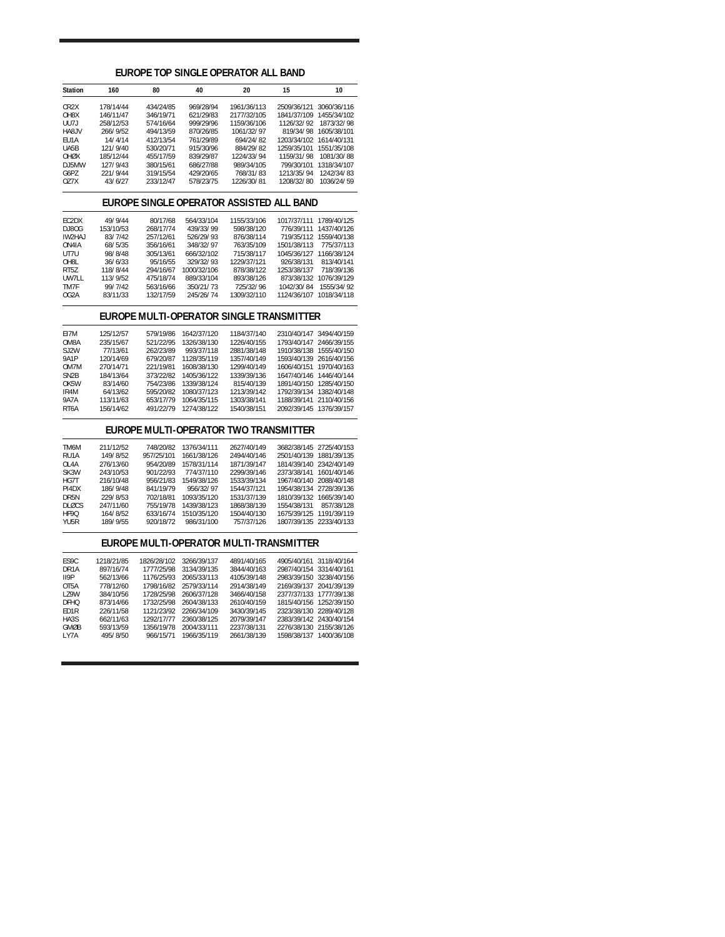| 20<br><b>Station</b><br>160<br>80<br>40<br>15<br>10<br>CR <sub>2</sub> X<br>178/14/44<br>434/24/85<br>969/28/94<br>2509/36/121 3060/36/116<br>1961/36/113<br>OH8X<br>1841/37/109 1455/34/102<br>146/11/47<br>346/19/71<br>621/29/83<br>2177/32/105<br>UU7J<br>258/12/53<br>999/29/96<br>1159/36/106<br>1126/32/92<br>1873/32/98<br>574/16/64<br>HA8JV<br>266/9/52<br>819/34/98 1605/38/101<br>494/13/59<br>870/26/85<br>1061/32/97<br>14/4/14<br>EU1A<br>412/13/54<br>761/29/89<br>694/24/82<br>1203/34/102 1614/40/131<br>121/9/40<br>884/29/82<br>UA5B<br>530/20/71<br>915/30/96<br>1259/35/101 1551/35/108<br>OHØX<br>185/12/44<br>455/17/59<br>839/29/87<br>1224/33/94<br>1159/31/98<br>1081/30/88<br>DJ5MW<br>127/9/43<br>380/15/61<br>686/27/88<br>989/34/105<br>799/30/101 1318/34/107<br>G6PZ<br>221/9/44<br>319/15/54<br>429/20/65<br>768/31/83<br>1213/35/94<br>1242/34/83<br>OZ7X<br>43/6/27<br>233/12/47<br>1226/30/81<br>1208/32/80<br>578/23/75<br>1036/24/59<br>EUROPE SINGLE OPERATOR ASSISTED ALL BAND<br>EC2DX<br>49/9/44<br>80/17/68<br>564/33/104<br>1155/33/106<br>1017/37/111 1789/40/125<br>DJ80G<br>153/10/53<br>268/17/74<br>439/33/99<br>598/38/120<br>776/39/111 1437/40/126<br>83/7/42<br>526/29/93<br>IW2HAJ<br>257/12/61<br>876/38/114<br>719/35/112 1559/40/138<br>68/5/35<br>348/32/97<br>763/35/109<br>1501/38/113<br>ON4IA<br>356/16/61<br>775/37/113<br>98/8/48<br>305/13/61<br>666/32/102<br>715/38/117<br>1045/36/127 1166/38/124<br>UT7U<br>OH8L<br>36/6/33<br>95/16/55<br>329/32/93<br>1229/37/121<br>926/38/131<br>813/40/141<br>RT5Z<br>118/8/44<br>294/16/67<br>1000/32/106<br>878/38/122<br>1253/38/137<br>718/39/136<br>113/9/52<br>UW7LL<br>475/18/74<br>889/33/104<br>893/38/126<br>873/38/132 1076/39/129<br>TM7F<br>99/7/42<br>563/16/66<br>350/21/73<br>725/32/96<br>1042/30/84<br>1555/34/92<br>OG2A<br>83/11/33<br>132/17/59<br>245/26/74<br>1309/32/110<br>1124/36/107 1018/34/118<br>EUROPE MULTI-OPERATOR SINGLE TRANSMITTER<br>579/19/86<br>2310/40/147 3494/40/159<br>EI7M<br>125/12/57<br>1642/37/120<br>1184/37/140<br>OM8A<br>235/15/67<br>521/22/95<br>1326/38/130<br>1226/40/155<br>1793/40/147 2466/39/155<br>SJ2W<br>77/13/61<br>262/23/89<br>993/37/118<br>2881/38/148<br>1910/38/138 1555/40/150<br><b>9A1P</b><br>120/14/69<br>679/20/87<br>1128/35/119<br>1357/40/149<br>1593/40/139 2616/40/156<br>OM7M<br>270/14/71<br>221/19/81<br>1608/38/130<br>1299/40/149<br>1606/40/151 1970/40/163<br>SN <sub>2</sub> B<br>184/13/64<br>373/22/82<br>1405/36/122<br>1339/39/136<br>1647/40/146 1446/40/144<br>1891/40/150 1285/40/150<br>OK5W<br>83/14/60<br>754/23/86<br>1339/38/124<br>815/40/139<br>1792/39/134 1382/40/148<br>IR4M<br>64/13/62<br>595/20/82<br>1080/37/123<br>1213/39/142<br>9A7A<br>1188/39/141 2110/40/156<br>113/11/63<br>653/17/79<br>1064/35/115<br>1303/38/141<br>491/22/79<br>RT <sub>6</sub> A<br>156/14/62<br>1274/38/122<br>1540/38/151<br>2092/39/145 1376/39/157<br>EUROPE MULTI-OPERATOR TWO TRANSMITTER<br>TM6M<br>211/12/52<br>748/20/82<br>1376/34/111<br>2627/40/149<br>3682/38/145 2725/40/153<br>RU1A<br>149/8/52<br>957/25/101<br>1661/38/126<br>2501/40/139<br>1881/39/135<br>2494/40/146<br>1814/39/140 2342/40/149<br>OL4A<br>276/13/60<br>954/20/89<br>1578/31/114<br>1871/39/147<br>SK3W<br>243/10/53<br>901/22/93<br>774/37/110<br>2299/39/146<br>2373/38/141<br>1601/40/146<br>HG7T<br>216/10/48<br>956/21/83<br>1549/38/126<br>1533/39/134<br>1967/40/140 2088/40/148<br>PI4DX<br>186/9/48<br>841/19/79<br>956/32/97<br>1544/37/121<br>1954/38/134 2728/39/136<br>229/8/53<br>1093/35/120<br>DR <sub>5N</sub><br>702/18/81<br>1531/37/139<br>1810/39/132 1665/39/140<br>247/11/60<br><b>DLØCS</b><br>755/19/78<br>1439/38/123<br>1868/38/139<br>1554/38/131<br>857/38/128<br>HF9Q<br>164/8/52<br>1675/39/125 1191/39/119<br>633/16/74<br>1510/35/120<br>1504/40/130<br>189/9/55<br>YU5R<br>920/18/72<br>986/31/100<br>757/37/126<br>1807/39/135 2233/40/133<br>EUROPE MULTI-OPERATOR MULTI-TRANSMITTER<br>ES9C<br>1218/21/85<br>1826/28/102<br>3266/39/137<br>4891/40/165<br>4905/40/161 3118/40/164<br>DR <sub>1</sub> A<br>897/16/74<br>1777/25/98<br>3134/39/135<br>3844/40/163<br>2987/40/154<br>3314/40/161<br>II9P<br>562/13/66<br>1176/25/93<br>2065/33/113<br>4105/39/148<br>2983/39/150<br>3238/40/156<br>778/12/60<br>1798/16/82<br>2579/33/114<br>2169/39/137<br>2041/39/139<br>OT5A<br>2914/38/149<br>LZ9W<br>384/10/56<br>1728/25/98<br>3466/40/158<br>2377/37/133<br>1777/39/138<br>2606/37/128<br><b>DFHQ</b><br>873/14/66<br>1732/25/98<br>2604/38/133<br>2610/40/159<br>1815/40/156 1252/39/150<br>ED1R<br>226/11/58<br>1121/23/92<br>2266/34/109<br>3430/39/145<br>2323/38/130 2289/40/128<br>662/11/63<br>1292/17/77<br>2360/38/125<br>2079/39/147<br>2383/39/142 2430/40/154<br>HA3S<br><b>GMØB</b><br>1356/19/78<br>2276/38/130 2155/38/126<br>593/13/59<br>2004/33/111<br>2237/38/131<br>495/8/50<br>966/15/71<br>2661/38/139<br>1598/38/137 1400/36/108<br>LY7A<br>1966/35/119 | EUROPE TOP SINGLE OPERATOR ALL BAND |  |  |  |  |  |  |  |  |  |
|-------------------------------------------------------------------------------------------------------------------------------------------------------------------------------------------------------------------------------------------------------------------------------------------------------------------------------------------------------------------------------------------------------------------------------------------------------------------------------------------------------------------------------------------------------------------------------------------------------------------------------------------------------------------------------------------------------------------------------------------------------------------------------------------------------------------------------------------------------------------------------------------------------------------------------------------------------------------------------------------------------------------------------------------------------------------------------------------------------------------------------------------------------------------------------------------------------------------------------------------------------------------------------------------------------------------------------------------------------------------------------------------------------------------------------------------------------------------------------------------------------------------------------------------------------------------------------------------------------------------------------------------------------------------------------------------------------------------------------------------------------------------------------------------------------------------------------------------------------------------------------------------------------------------------------------------------------------------------------------------------------------------------------------------------------------------------------------------------------------------------------------------------------------------------------------------------------------------------------------------------------------------------------------------------------------------------------------------------------------------------------------------------------------------------------------------------------------------------------------------------------------------------------------------------------------------------------------------------------------------------------------------------------------------------------------------------------------------------------------------------------------------------------------------------------------------------------------------------------------------------------------------------------------------------------------------------------------------------------------------------------------------------------------------------------------------------------------------------------------------------------------------------------------------------------------------------------------------------------------------------------------------------------------------------------------------------------------------------------------------------------------------------------------------------------------------------------------------------------------------------------------------------------------------------------------------------------------------------------------------------------------------------------------------------------------------------------------------------------------------------------------------------------------------------------------------------------------------------------------------------------------------------------------------------------------------------------------------------------------------------------------------------------------------------------------------------------------------------------------------------------------------------------------------------------------------------------------------------------------------------------------------------------------------------------------------------------------------------------------------------------------------------------------------------------------------------------------------------------------------------------------------------------------------------------------------------------------------------------------------------------------------------------------------------------------------------------------------------------------------------------------------------------------------------------------------------------------------------------------------------------------------------------------------------------------------------------------------------------------------------------------------|-------------------------------------|--|--|--|--|--|--|--|--|--|
|                                                                                                                                                                                                                                                                                                                                                                                                                                                                                                                                                                                                                                                                                                                                                                                                                                                                                                                                                                                                                                                                                                                                                                                                                                                                                                                                                                                                                                                                                                                                                                                                                                                                                                                                                                                                                                                                                                                                                                                                                                                                                                                                                                                                                                                                                                                                                                                                                                                                                                                                                                                                                                                                                                                                                                                                                                                                                                                                                                                                                                                                                                                                                                                                                                                                                                                                                                                                                                                                                                                                                                                                                                                                                                                                                                                                                                                                                                                                                                                                                                                                                                                                                                                                                                                                                                                                                                                                                                                                                                                                                                                                                                                                                                                                                                                                                                                                                                                                                                                                                   |                                     |  |  |  |  |  |  |  |  |  |
|                                                                                                                                                                                                                                                                                                                                                                                                                                                                                                                                                                                                                                                                                                                                                                                                                                                                                                                                                                                                                                                                                                                                                                                                                                                                                                                                                                                                                                                                                                                                                                                                                                                                                                                                                                                                                                                                                                                                                                                                                                                                                                                                                                                                                                                                                                                                                                                                                                                                                                                                                                                                                                                                                                                                                                                                                                                                                                                                                                                                                                                                                                                                                                                                                                                                                                                                                                                                                                                                                                                                                                                                                                                                                                                                                                                                                                                                                                                                                                                                                                                                                                                                                                                                                                                                                                                                                                                                                                                                                                                                                                                                                                                                                                                                                                                                                                                                                                                                                                                                                   |                                     |  |  |  |  |  |  |  |  |  |
|                                                                                                                                                                                                                                                                                                                                                                                                                                                                                                                                                                                                                                                                                                                                                                                                                                                                                                                                                                                                                                                                                                                                                                                                                                                                                                                                                                                                                                                                                                                                                                                                                                                                                                                                                                                                                                                                                                                                                                                                                                                                                                                                                                                                                                                                                                                                                                                                                                                                                                                                                                                                                                                                                                                                                                                                                                                                                                                                                                                                                                                                                                                                                                                                                                                                                                                                                                                                                                                                                                                                                                                                                                                                                                                                                                                                                                                                                                                                                                                                                                                                                                                                                                                                                                                                                                                                                                                                                                                                                                                                                                                                                                                                                                                                                                                                                                                                                                                                                                                                                   |                                     |  |  |  |  |  |  |  |  |  |
|                                                                                                                                                                                                                                                                                                                                                                                                                                                                                                                                                                                                                                                                                                                                                                                                                                                                                                                                                                                                                                                                                                                                                                                                                                                                                                                                                                                                                                                                                                                                                                                                                                                                                                                                                                                                                                                                                                                                                                                                                                                                                                                                                                                                                                                                                                                                                                                                                                                                                                                                                                                                                                                                                                                                                                                                                                                                                                                                                                                                                                                                                                                                                                                                                                                                                                                                                                                                                                                                                                                                                                                                                                                                                                                                                                                                                                                                                                                                                                                                                                                                                                                                                                                                                                                                                                                                                                                                                                                                                                                                                                                                                                                                                                                                                                                                                                                                                                                                                                                                                   |                                     |  |  |  |  |  |  |  |  |  |
|                                                                                                                                                                                                                                                                                                                                                                                                                                                                                                                                                                                                                                                                                                                                                                                                                                                                                                                                                                                                                                                                                                                                                                                                                                                                                                                                                                                                                                                                                                                                                                                                                                                                                                                                                                                                                                                                                                                                                                                                                                                                                                                                                                                                                                                                                                                                                                                                                                                                                                                                                                                                                                                                                                                                                                                                                                                                                                                                                                                                                                                                                                                                                                                                                                                                                                                                                                                                                                                                                                                                                                                                                                                                                                                                                                                                                                                                                                                                                                                                                                                                                                                                                                                                                                                                                                                                                                                                                                                                                                                                                                                                                                                                                                                                                                                                                                                                                                                                                                                                                   |                                     |  |  |  |  |  |  |  |  |  |
|                                                                                                                                                                                                                                                                                                                                                                                                                                                                                                                                                                                                                                                                                                                                                                                                                                                                                                                                                                                                                                                                                                                                                                                                                                                                                                                                                                                                                                                                                                                                                                                                                                                                                                                                                                                                                                                                                                                                                                                                                                                                                                                                                                                                                                                                                                                                                                                                                                                                                                                                                                                                                                                                                                                                                                                                                                                                                                                                                                                                                                                                                                                                                                                                                                                                                                                                                                                                                                                                                                                                                                                                                                                                                                                                                                                                                                                                                                                                                                                                                                                                                                                                                                                                                                                                                                                                                                                                                                                                                                                                                                                                                                                                                                                                                                                                                                                                                                                                                                                                                   |                                     |  |  |  |  |  |  |  |  |  |
|                                                                                                                                                                                                                                                                                                                                                                                                                                                                                                                                                                                                                                                                                                                                                                                                                                                                                                                                                                                                                                                                                                                                                                                                                                                                                                                                                                                                                                                                                                                                                                                                                                                                                                                                                                                                                                                                                                                                                                                                                                                                                                                                                                                                                                                                                                                                                                                                                                                                                                                                                                                                                                                                                                                                                                                                                                                                                                                                                                                                                                                                                                                                                                                                                                                                                                                                                                                                                                                                                                                                                                                                                                                                                                                                                                                                                                                                                                                                                                                                                                                                                                                                                                                                                                                                                                                                                                                                                                                                                                                                                                                                                                                                                                                                                                                                                                                                                                                                                                                                                   |                                     |  |  |  |  |  |  |  |  |  |
|                                                                                                                                                                                                                                                                                                                                                                                                                                                                                                                                                                                                                                                                                                                                                                                                                                                                                                                                                                                                                                                                                                                                                                                                                                                                                                                                                                                                                                                                                                                                                                                                                                                                                                                                                                                                                                                                                                                                                                                                                                                                                                                                                                                                                                                                                                                                                                                                                                                                                                                                                                                                                                                                                                                                                                                                                                                                                                                                                                                                                                                                                                                                                                                                                                                                                                                                                                                                                                                                                                                                                                                                                                                                                                                                                                                                                                                                                                                                                                                                                                                                                                                                                                                                                                                                                                                                                                                                                                                                                                                                                                                                                                                                                                                                                                                                                                                                                                                                                                                                                   |                                     |  |  |  |  |  |  |  |  |  |
|                                                                                                                                                                                                                                                                                                                                                                                                                                                                                                                                                                                                                                                                                                                                                                                                                                                                                                                                                                                                                                                                                                                                                                                                                                                                                                                                                                                                                                                                                                                                                                                                                                                                                                                                                                                                                                                                                                                                                                                                                                                                                                                                                                                                                                                                                                                                                                                                                                                                                                                                                                                                                                                                                                                                                                                                                                                                                                                                                                                                                                                                                                                                                                                                                                                                                                                                                                                                                                                                                                                                                                                                                                                                                                                                                                                                                                                                                                                                                                                                                                                                                                                                                                                                                                                                                                                                                                                                                                                                                                                                                                                                                                                                                                                                                                                                                                                                                                                                                                                                                   |                                     |  |  |  |  |  |  |  |  |  |
|                                                                                                                                                                                                                                                                                                                                                                                                                                                                                                                                                                                                                                                                                                                                                                                                                                                                                                                                                                                                                                                                                                                                                                                                                                                                                                                                                                                                                                                                                                                                                                                                                                                                                                                                                                                                                                                                                                                                                                                                                                                                                                                                                                                                                                                                                                                                                                                                                                                                                                                                                                                                                                                                                                                                                                                                                                                                                                                                                                                                                                                                                                                                                                                                                                                                                                                                                                                                                                                                                                                                                                                                                                                                                                                                                                                                                                                                                                                                                                                                                                                                                                                                                                                                                                                                                                                                                                                                                                                                                                                                                                                                                                                                                                                                                                                                                                                                                                                                                                                                                   |                                     |  |  |  |  |  |  |  |  |  |
|                                                                                                                                                                                                                                                                                                                                                                                                                                                                                                                                                                                                                                                                                                                                                                                                                                                                                                                                                                                                                                                                                                                                                                                                                                                                                                                                                                                                                                                                                                                                                                                                                                                                                                                                                                                                                                                                                                                                                                                                                                                                                                                                                                                                                                                                                                                                                                                                                                                                                                                                                                                                                                                                                                                                                                                                                                                                                                                                                                                                                                                                                                                                                                                                                                                                                                                                                                                                                                                                                                                                                                                                                                                                                                                                                                                                                                                                                                                                                                                                                                                                                                                                                                                                                                                                                                                                                                                                                                                                                                                                                                                                                                                                                                                                                                                                                                                                                                                                                                                                                   |                                     |  |  |  |  |  |  |  |  |  |
|                                                                                                                                                                                                                                                                                                                                                                                                                                                                                                                                                                                                                                                                                                                                                                                                                                                                                                                                                                                                                                                                                                                                                                                                                                                                                                                                                                                                                                                                                                                                                                                                                                                                                                                                                                                                                                                                                                                                                                                                                                                                                                                                                                                                                                                                                                                                                                                                                                                                                                                                                                                                                                                                                                                                                                                                                                                                                                                                                                                                                                                                                                                                                                                                                                                                                                                                                                                                                                                                                                                                                                                                                                                                                                                                                                                                                                                                                                                                                                                                                                                                                                                                                                                                                                                                                                                                                                                                                                                                                                                                                                                                                                                                                                                                                                                                                                                                                                                                                                                                                   |                                     |  |  |  |  |  |  |  |  |  |
|                                                                                                                                                                                                                                                                                                                                                                                                                                                                                                                                                                                                                                                                                                                                                                                                                                                                                                                                                                                                                                                                                                                                                                                                                                                                                                                                                                                                                                                                                                                                                                                                                                                                                                                                                                                                                                                                                                                                                                                                                                                                                                                                                                                                                                                                                                                                                                                                                                                                                                                                                                                                                                                                                                                                                                                                                                                                                                                                                                                                                                                                                                                                                                                                                                                                                                                                                                                                                                                                                                                                                                                                                                                                                                                                                                                                                                                                                                                                                                                                                                                                                                                                                                                                                                                                                                                                                                                                                                                                                                                                                                                                                                                                                                                                                                                                                                                                                                                                                                                                                   |                                     |  |  |  |  |  |  |  |  |  |
|                                                                                                                                                                                                                                                                                                                                                                                                                                                                                                                                                                                                                                                                                                                                                                                                                                                                                                                                                                                                                                                                                                                                                                                                                                                                                                                                                                                                                                                                                                                                                                                                                                                                                                                                                                                                                                                                                                                                                                                                                                                                                                                                                                                                                                                                                                                                                                                                                                                                                                                                                                                                                                                                                                                                                                                                                                                                                                                                                                                                                                                                                                                                                                                                                                                                                                                                                                                                                                                                                                                                                                                                                                                                                                                                                                                                                                                                                                                                                                                                                                                                                                                                                                                                                                                                                                                                                                                                                                                                                                                                                                                                                                                                                                                                                                                                                                                                                                                                                                                                                   |                                     |  |  |  |  |  |  |  |  |  |
|                                                                                                                                                                                                                                                                                                                                                                                                                                                                                                                                                                                                                                                                                                                                                                                                                                                                                                                                                                                                                                                                                                                                                                                                                                                                                                                                                                                                                                                                                                                                                                                                                                                                                                                                                                                                                                                                                                                                                                                                                                                                                                                                                                                                                                                                                                                                                                                                                                                                                                                                                                                                                                                                                                                                                                                                                                                                                                                                                                                                                                                                                                                                                                                                                                                                                                                                                                                                                                                                                                                                                                                                                                                                                                                                                                                                                                                                                                                                                                                                                                                                                                                                                                                                                                                                                                                                                                                                                                                                                                                                                                                                                                                                                                                                                                                                                                                                                                                                                                                                                   |                                     |  |  |  |  |  |  |  |  |  |
|                                                                                                                                                                                                                                                                                                                                                                                                                                                                                                                                                                                                                                                                                                                                                                                                                                                                                                                                                                                                                                                                                                                                                                                                                                                                                                                                                                                                                                                                                                                                                                                                                                                                                                                                                                                                                                                                                                                                                                                                                                                                                                                                                                                                                                                                                                                                                                                                                                                                                                                                                                                                                                                                                                                                                                                                                                                                                                                                                                                                                                                                                                                                                                                                                                                                                                                                                                                                                                                                                                                                                                                                                                                                                                                                                                                                                                                                                                                                                                                                                                                                                                                                                                                                                                                                                                                                                                                                                                                                                                                                                                                                                                                                                                                                                                                                                                                                                                                                                                                                                   |                                     |  |  |  |  |  |  |  |  |  |
|                                                                                                                                                                                                                                                                                                                                                                                                                                                                                                                                                                                                                                                                                                                                                                                                                                                                                                                                                                                                                                                                                                                                                                                                                                                                                                                                                                                                                                                                                                                                                                                                                                                                                                                                                                                                                                                                                                                                                                                                                                                                                                                                                                                                                                                                                                                                                                                                                                                                                                                                                                                                                                                                                                                                                                                                                                                                                                                                                                                                                                                                                                                                                                                                                                                                                                                                                                                                                                                                                                                                                                                                                                                                                                                                                                                                                                                                                                                                                                                                                                                                                                                                                                                                                                                                                                                                                                                                                                                                                                                                                                                                                                                                                                                                                                                                                                                                                                                                                                                                                   |                                     |  |  |  |  |  |  |  |  |  |
|                                                                                                                                                                                                                                                                                                                                                                                                                                                                                                                                                                                                                                                                                                                                                                                                                                                                                                                                                                                                                                                                                                                                                                                                                                                                                                                                                                                                                                                                                                                                                                                                                                                                                                                                                                                                                                                                                                                                                                                                                                                                                                                                                                                                                                                                                                                                                                                                                                                                                                                                                                                                                                                                                                                                                                                                                                                                                                                                                                                                                                                                                                                                                                                                                                                                                                                                                                                                                                                                                                                                                                                                                                                                                                                                                                                                                                                                                                                                                                                                                                                                                                                                                                                                                                                                                                                                                                                                                                                                                                                                                                                                                                                                                                                                                                                                                                                                                                                                                                                                                   |                                     |  |  |  |  |  |  |  |  |  |
|                                                                                                                                                                                                                                                                                                                                                                                                                                                                                                                                                                                                                                                                                                                                                                                                                                                                                                                                                                                                                                                                                                                                                                                                                                                                                                                                                                                                                                                                                                                                                                                                                                                                                                                                                                                                                                                                                                                                                                                                                                                                                                                                                                                                                                                                                                                                                                                                                                                                                                                                                                                                                                                                                                                                                                                                                                                                                                                                                                                                                                                                                                                                                                                                                                                                                                                                                                                                                                                                                                                                                                                                                                                                                                                                                                                                                                                                                                                                                                                                                                                                                                                                                                                                                                                                                                                                                                                                                                                                                                                                                                                                                                                                                                                                                                                                                                                                                                                                                                                                                   |                                     |  |  |  |  |  |  |  |  |  |
|                                                                                                                                                                                                                                                                                                                                                                                                                                                                                                                                                                                                                                                                                                                                                                                                                                                                                                                                                                                                                                                                                                                                                                                                                                                                                                                                                                                                                                                                                                                                                                                                                                                                                                                                                                                                                                                                                                                                                                                                                                                                                                                                                                                                                                                                                                                                                                                                                                                                                                                                                                                                                                                                                                                                                                                                                                                                                                                                                                                                                                                                                                                                                                                                                                                                                                                                                                                                                                                                                                                                                                                                                                                                                                                                                                                                                                                                                                                                                                                                                                                                                                                                                                                                                                                                                                                                                                                                                                                                                                                                                                                                                                                                                                                                                                                                                                                                                                                                                                                                                   |                                     |  |  |  |  |  |  |  |  |  |
|                                                                                                                                                                                                                                                                                                                                                                                                                                                                                                                                                                                                                                                                                                                                                                                                                                                                                                                                                                                                                                                                                                                                                                                                                                                                                                                                                                                                                                                                                                                                                                                                                                                                                                                                                                                                                                                                                                                                                                                                                                                                                                                                                                                                                                                                                                                                                                                                                                                                                                                                                                                                                                                                                                                                                                                                                                                                                                                                                                                                                                                                                                                                                                                                                                                                                                                                                                                                                                                                                                                                                                                                                                                                                                                                                                                                                                                                                                                                                                                                                                                                                                                                                                                                                                                                                                                                                                                                                                                                                                                                                                                                                                                                                                                                                                                                                                                                                                                                                                                                                   |                                     |  |  |  |  |  |  |  |  |  |
|                                                                                                                                                                                                                                                                                                                                                                                                                                                                                                                                                                                                                                                                                                                                                                                                                                                                                                                                                                                                                                                                                                                                                                                                                                                                                                                                                                                                                                                                                                                                                                                                                                                                                                                                                                                                                                                                                                                                                                                                                                                                                                                                                                                                                                                                                                                                                                                                                                                                                                                                                                                                                                                                                                                                                                                                                                                                                                                                                                                                                                                                                                                                                                                                                                                                                                                                                                                                                                                                                                                                                                                                                                                                                                                                                                                                                                                                                                                                                                                                                                                                                                                                                                                                                                                                                                                                                                                                                                                                                                                                                                                                                                                                                                                                                                                                                                                                                                                                                                                                                   |                                     |  |  |  |  |  |  |  |  |  |
|                                                                                                                                                                                                                                                                                                                                                                                                                                                                                                                                                                                                                                                                                                                                                                                                                                                                                                                                                                                                                                                                                                                                                                                                                                                                                                                                                                                                                                                                                                                                                                                                                                                                                                                                                                                                                                                                                                                                                                                                                                                                                                                                                                                                                                                                                                                                                                                                                                                                                                                                                                                                                                                                                                                                                                                                                                                                                                                                                                                                                                                                                                                                                                                                                                                                                                                                                                                                                                                                                                                                                                                                                                                                                                                                                                                                                                                                                                                                                                                                                                                                                                                                                                                                                                                                                                                                                                                                                                                                                                                                                                                                                                                                                                                                                                                                                                                                                                                                                                                                                   |                                     |  |  |  |  |  |  |  |  |  |
|                                                                                                                                                                                                                                                                                                                                                                                                                                                                                                                                                                                                                                                                                                                                                                                                                                                                                                                                                                                                                                                                                                                                                                                                                                                                                                                                                                                                                                                                                                                                                                                                                                                                                                                                                                                                                                                                                                                                                                                                                                                                                                                                                                                                                                                                                                                                                                                                                                                                                                                                                                                                                                                                                                                                                                                                                                                                                                                                                                                                                                                                                                                                                                                                                                                                                                                                                                                                                                                                                                                                                                                                                                                                                                                                                                                                                                                                                                                                                                                                                                                                                                                                                                                                                                                                                                                                                                                                                                                                                                                                                                                                                                                                                                                                                                                                                                                                                                                                                                                                                   |                                     |  |  |  |  |  |  |  |  |  |
|                                                                                                                                                                                                                                                                                                                                                                                                                                                                                                                                                                                                                                                                                                                                                                                                                                                                                                                                                                                                                                                                                                                                                                                                                                                                                                                                                                                                                                                                                                                                                                                                                                                                                                                                                                                                                                                                                                                                                                                                                                                                                                                                                                                                                                                                                                                                                                                                                                                                                                                                                                                                                                                                                                                                                                                                                                                                                                                                                                                                                                                                                                                                                                                                                                                                                                                                                                                                                                                                                                                                                                                                                                                                                                                                                                                                                                                                                                                                                                                                                                                                                                                                                                                                                                                                                                                                                                                                                                                                                                                                                                                                                                                                                                                                                                                                                                                                                                                                                                                                                   |                                     |  |  |  |  |  |  |  |  |  |
|                                                                                                                                                                                                                                                                                                                                                                                                                                                                                                                                                                                                                                                                                                                                                                                                                                                                                                                                                                                                                                                                                                                                                                                                                                                                                                                                                                                                                                                                                                                                                                                                                                                                                                                                                                                                                                                                                                                                                                                                                                                                                                                                                                                                                                                                                                                                                                                                                                                                                                                                                                                                                                                                                                                                                                                                                                                                                                                                                                                                                                                                                                                                                                                                                                                                                                                                                                                                                                                                                                                                                                                                                                                                                                                                                                                                                                                                                                                                                                                                                                                                                                                                                                                                                                                                                                                                                                                                                                                                                                                                                                                                                                                                                                                                                                                                                                                                                                                                                                                                                   |                                     |  |  |  |  |  |  |  |  |  |
|                                                                                                                                                                                                                                                                                                                                                                                                                                                                                                                                                                                                                                                                                                                                                                                                                                                                                                                                                                                                                                                                                                                                                                                                                                                                                                                                                                                                                                                                                                                                                                                                                                                                                                                                                                                                                                                                                                                                                                                                                                                                                                                                                                                                                                                                                                                                                                                                                                                                                                                                                                                                                                                                                                                                                                                                                                                                                                                                                                                                                                                                                                                                                                                                                                                                                                                                                                                                                                                                                                                                                                                                                                                                                                                                                                                                                                                                                                                                                                                                                                                                                                                                                                                                                                                                                                                                                                                                                                                                                                                                                                                                                                                                                                                                                                                                                                                                                                                                                                                                                   |                                     |  |  |  |  |  |  |  |  |  |
|                                                                                                                                                                                                                                                                                                                                                                                                                                                                                                                                                                                                                                                                                                                                                                                                                                                                                                                                                                                                                                                                                                                                                                                                                                                                                                                                                                                                                                                                                                                                                                                                                                                                                                                                                                                                                                                                                                                                                                                                                                                                                                                                                                                                                                                                                                                                                                                                                                                                                                                                                                                                                                                                                                                                                                                                                                                                                                                                                                                                                                                                                                                                                                                                                                                                                                                                                                                                                                                                                                                                                                                                                                                                                                                                                                                                                                                                                                                                                                                                                                                                                                                                                                                                                                                                                                                                                                                                                                                                                                                                                                                                                                                                                                                                                                                                                                                                                                                                                                                                                   |                                     |  |  |  |  |  |  |  |  |  |
|                                                                                                                                                                                                                                                                                                                                                                                                                                                                                                                                                                                                                                                                                                                                                                                                                                                                                                                                                                                                                                                                                                                                                                                                                                                                                                                                                                                                                                                                                                                                                                                                                                                                                                                                                                                                                                                                                                                                                                                                                                                                                                                                                                                                                                                                                                                                                                                                                                                                                                                                                                                                                                                                                                                                                                                                                                                                                                                                                                                                                                                                                                                                                                                                                                                                                                                                                                                                                                                                                                                                                                                                                                                                                                                                                                                                                                                                                                                                                                                                                                                                                                                                                                                                                                                                                                                                                                                                                                                                                                                                                                                                                                                                                                                                                                                                                                                                                                                                                                                                                   |                                     |  |  |  |  |  |  |  |  |  |
|                                                                                                                                                                                                                                                                                                                                                                                                                                                                                                                                                                                                                                                                                                                                                                                                                                                                                                                                                                                                                                                                                                                                                                                                                                                                                                                                                                                                                                                                                                                                                                                                                                                                                                                                                                                                                                                                                                                                                                                                                                                                                                                                                                                                                                                                                                                                                                                                                                                                                                                                                                                                                                                                                                                                                                                                                                                                                                                                                                                                                                                                                                                                                                                                                                                                                                                                                                                                                                                                                                                                                                                                                                                                                                                                                                                                                                                                                                                                                                                                                                                                                                                                                                                                                                                                                                                                                                                                                                                                                                                                                                                                                                                                                                                                                                                                                                                                                                                                                                                                                   |                                     |  |  |  |  |  |  |  |  |  |
|                                                                                                                                                                                                                                                                                                                                                                                                                                                                                                                                                                                                                                                                                                                                                                                                                                                                                                                                                                                                                                                                                                                                                                                                                                                                                                                                                                                                                                                                                                                                                                                                                                                                                                                                                                                                                                                                                                                                                                                                                                                                                                                                                                                                                                                                                                                                                                                                                                                                                                                                                                                                                                                                                                                                                                                                                                                                                                                                                                                                                                                                                                                                                                                                                                                                                                                                                                                                                                                                                                                                                                                                                                                                                                                                                                                                                                                                                                                                                                                                                                                                                                                                                                                                                                                                                                                                                                                                                                                                                                                                                                                                                                                                                                                                                                                                                                                                                                                                                                                                                   |                                     |  |  |  |  |  |  |  |  |  |
|                                                                                                                                                                                                                                                                                                                                                                                                                                                                                                                                                                                                                                                                                                                                                                                                                                                                                                                                                                                                                                                                                                                                                                                                                                                                                                                                                                                                                                                                                                                                                                                                                                                                                                                                                                                                                                                                                                                                                                                                                                                                                                                                                                                                                                                                                                                                                                                                                                                                                                                                                                                                                                                                                                                                                                                                                                                                                                                                                                                                                                                                                                                                                                                                                                                                                                                                                                                                                                                                                                                                                                                                                                                                                                                                                                                                                                                                                                                                                                                                                                                                                                                                                                                                                                                                                                                                                                                                                                                                                                                                                                                                                                                                                                                                                                                                                                                                                                                                                                                                                   |                                     |  |  |  |  |  |  |  |  |  |
|                                                                                                                                                                                                                                                                                                                                                                                                                                                                                                                                                                                                                                                                                                                                                                                                                                                                                                                                                                                                                                                                                                                                                                                                                                                                                                                                                                                                                                                                                                                                                                                                                                                                                                                                                                                                                                                                                                                                                                                                                                                                                                                                                                                                                                                                                                                                                                                                                                                                                                                                                                                                                                                                                                                                                                                                                                                                                                                                                                                                                                                                                                                                                                                                                                                                                                                                                                                                                                                                                                                                                                                                                                                                                                                                                                                                                                                                                                                                                                                                                                                                                                                                                                                                                                                                                                                                                                                                                                                                                                                                                                                                                                                                                                                                                                                                                                                                                                                                                                                                                   |                                     |  |  |  |  |  |  |  |  |  |
|                                                                                                                                                                                                                                                                                                                                                                                                                                                                                                                                                                                                                                                                                                                                                                                                                                                                                                                                                                                                                                                                                                                                                                                                                                                                                                                                                                                                                                                                                                                                                                                                                                                                                                                                                                                                                                                                                                                                                                                                                                                                                                                                                                                                                                                                                                                                                                                                                                                                                                                                                                                                                                                                                                                                                                                                                                                                                                                                                                                                                                                                                                                                                                                                                                                                                                                                                                                                                                                                                                                                                                                                                                                                                                                                                                                                                                                                                                                                                                                                                                                                                                                                                                                                                                                                                                                                                                                                                                                                                                                                                                                                                                                                                                                                                                                                                                                                                                                                                                                                                   |                                     |  |  |  |  |  |  |  |  |  |
|                                                                                                                                                                                                                                                                                                                                                                                                                                                                                                                                                                                                                                                                                                                                                                                                                                                                                                                                                                                                                                                                                                                                                                                                                                                                                                                                                                                                                                                                                                                                                                                                                                                                                                                                                                                                                                                                                                                                                                                                                                                                                                                                                                                                                                                                                                                                                                                                                                                                                                                                                                                                                                                                                                                                                                                                                                                                                                                                                                                                                                                                                                                                                                                                                                                                                                                                                                                                                                                                                                                                                                                                                                                                                                                                                                                                                                                                                                                                                                                                                                                                                                                                                                                                                                                                                                                                                                                                                                                                                                                                                                                                                                                                                                                                                                                                                                                                                                                                                                                                                   |                                     |  |  |  |  |  |  |  |  |  |
|                                                                                                                                                                                                                                                                                                                                                                                                                                                                                                                                                                                                                                                                                                                                                                                                                                                                                                                                                                                                                                                                                                                                                                                                                                                                                                                                                                                                                                                                                                                                                                                                                                                                                                                                                                                                                                                                                                                                                                                                                                                                                                                                                                                                                                                                                                                                                                                                                                                                                                                                                                                                                                                                                                                                                                                                                                                                                                                                                                                                                                                                                                                                                                                                                                                                                                                                                                                                                                                                                                                                                                                                                                                                                                                                                                                                                                                                                                                                                                                                                                                                                                                                                                                                                                                                                                                                                                                                                                                                                                                                                                                                                                                                                                                                                                                                                                                                                                                                                                                                                   |                                     |  |  |  |  |  |  |  |  |  |
|                                                                                                                                                                                                                                                                                                                                                                                                                                                                                                                                                                                                                                                                                                                                                                                                                                                                                                                                                                                                                                                                                                                                                                                                                                                                                                                                                                                                                                                                                                                                                                                                                                                                                                                                                                                                                                                                                                                                                                                                                                                                                                                                                                                                                                                                                                                                                                                                                                                                                                                                                                                                                                                                                                                                                                                                                                                                                                                                                                                                                                                                                                                                                                                                                                                                                                                                                                                                                                                                                                                                                                                                                                                                                                                                                                                                                                                                                                                                                                                                                                                                                                                                                                                                                                                                                                                                                                                                                                                                                                                                                                                                                                                                                                                                                                                                                                                                                                                                                                                                                   |                                     |  |  |  |  |  |  |  |  |  |
|                                                                                                                                                                                                                                                                                                                                                                                                                                                                                                                                                                                                                                                                                                                                                                                                                                                                                                                                                                                                                                                                                                                                                                                                                                                                                                                                                                                                                                                                                                                                                                                                                                                                                                                                                                                                                                                                                                                                                                                                                                                                                                                                                                                                                                                                                                                                                                                                                                                                                                                                                                                                                                                                                                                                                                                                                                                                                                                                                                                                                                                                                                                                                                                                                                                                                                                                                                                                                                                                                                                                                                                                                                                                                                                                                                                                                                                                                                                                                                                                                                                                                                                                                                                                                                                                                                                                                                                                                                                                                                                                                                                                                                                                                                                                                                                                                                                                                                                                                                                                                   |                                     |  |  |  |  |  |  |  |  |  |
|                                                                                                                                                                                                                                                                                                                                                                                                                                                                                                                                                                                                                                                                                                                                                                                                                                                                                                                                                                                                                                                                                                                                                                                                                                                                                                                                                                                                                                                                                                                                                                                                                                                                                                                                                                                                                                                                                                                                                                                                                                                                                                                                                                                                                                                                                                                                                                                                                                                                                                                                                                                                                                                                                                                                                                                                                                                                                                                                                                                                                                                                                                                                                                                                                                                                                                                                                                                                                                                                                                                                                                                                                                                                                                                                                                                                                                                                                                                                                                                                                                                                                                                                                                                                                                                                                                                                                                                                                                                                                                                                                                                                                                                                                                                                                                                                                                                                                                                                                                                                                   |                                     |  |  |  |  |  |  |  |  |  |
|                                                                                                                                                                                                                                                                                                                                                                                                                                                                                                                                                                                                                                                                                                                                                                                                                                                                                                                                                                                                                                                                                                                                                                                                                                                                                                                                                                                                                                                                                                                                                                                                                                                                                                                                                                                                                                                                                                                                                                                                                                                                                                                                                                                                                                                                                                                                                                                                                                                                                                                                                                                                                                                                                                                                                                                                                                                                                                                                                                                                                                                                                                                                                                                                                                                                                                                                                                                                                                                                                                                                                                                                                                                                                                                                                                                                                                                                                                                                                                                                                                                                                                                                                                                                                                                                                                                                                                                                                                                                                                                                                                                                                                                                                                                                                                                                                                                                                                                                                                                                                   |                                     |  |  |  |  |  |  |  |  |  |
|                                                                                                                                                                                                                                                                                                                                                                                                                                                                                                                                                                                                                                                                                                                                                                                                                                                                                                                                                                                                                                                                                                                                                                                                                                                                                                                                                                                                                                                                                                                                                                                                                                                                                                                                                                                                                                                                                                                                                                                                                                                                                                                                                                                                                                                                                                                                                                                                                                                                                                                                                                                                                                                                                                                                                                                                                                                                                                                                                                                                                                                                                                                                                                                                                                                                                                                                                                                                                                                                                                                                                                                                                                                                                                                                                                                                                                                                                                                                                                                                                                                                                                                                                                                                                                                                                                                                                                                                                                                                                                                                                                                                                                                                                                                                                                                                                                                                                                                                                                                                                   |                                     |  |  |  |  |  |  |  |  |  |
|                                                                                                                                                                                                                                                                                                                                                                                                                                                                                                                                                                                                                                                                                                                                                                                                                                                                                                                                                                                                                                                                                                                                                                                                                                                                                                                                                                                                                                                                                                                                                                                                                                                                                                                                                                                                                                                                                                                                                                                                                                                                                                                                                                                                                                                                                                                                                                                                                                                                                                                                                                                                                                                                                                                                                                                                                                                                                                                                                                                                                                                                                                                                                                                                                                                                                                                                                                                                                                                                                                                                                                                                                                                                                                                                                                                                                                                                                                                                                                                                                                                                                                                                                                                                                                                                                                                                                                                                                                                                                                                                                                                                                                                                                                                                                                                                                                                                                                                                                                                                                   |                                     |  |  |  |  |  |  |  |  |  |
|                                                                                                                                                                                                                                                                                                                                                                                                                                                                                                                                                                                                                                                                                                                                                                                                                                                                                                                                                                                                                                                                                                                                                                                                                                                                                                                                                                                                                                                                                                                                                                                                                                                                                                                                                                                                                                                                                                                                                                                                                                                                                                                                                                                                                                                                                                                                                                                                                                                                                                                                                                                                                                                                                                                                                                                                                                                                                                                                                                                                                                                                                                                                                                                                                                                                                                                                                                                                                                                                                                                                                                                                                                                                                                                                                                                                                                                                                                                                                                                                                                                                                                                                                                                                                                                                                                                                                                                                                                                                                                                                                                                                                                                                                                                                                                                                                                                                                                                                                                                                                   |                                     |  |  |  |  |  |  |  |  |  |
|                                                                                                                                                                                                                                                                                                                                                                                                                                                                                                                                                                                                                                                                                                                                                                                                                                                                                                                                                                                                                                                                                                                                                                                                                                                                                                                                                                                                                                                                                                                                                                                                                                                                                                                                                                                                                                                                                                                                                                                                                                                                                                                                                                                                                                                                                                                                                                                                                                                                                                                                                                                                                                                                                                                                                                                                                                                                                                                                                                                                                                                                                                                                                                                                                                                                                                                                                                                                                                                                                                                                                                                                                                                                                                                                                                                                                                                                                                                                                                                                                                                                                                                                                                                                                                                                                                                                                                                                                                                                                                                                                                                                                                                                                                                                                                                                                                                                                                                                                                                                                   |                                     |  |  |  |  |  |  |  |  |  |
|                                                                                                                                                                                                                                                                                                                                                                                                                                                                                                                                                                                                                                                                                                                                                                                                                                                                                                                                                                                                                                                                                                                                                                                                                                                                                                                                                                                                                                                                                                                                                                                                                                                                                                                                                                                                                                                                                                                                                                                                                                                                                                                                                                                                                                                                                                                                                                                                                                                                                                                                                                                                                                                                                                                                                                                                                                                                                                                                                                                                                                                                                                                                                                                                                                                                                                                                                                                                                                                                                                                                                                                                                                                                                                                                                                                                                                                                                                                                                                                                                                                                                                                                                                                                                                                                                                                                                                                                                                                                                                                                                                                                                                                                                                                                                                                                                                                                                                                                                                                                                   |                                     |  |  |  |  |  |  |  |  |  |
|                                                                                                                                                                                                                                                                                                                                                                                                                                                                                                                                                                                                                                                                                                                                                                                                                                                                                                                                                                                                                                                                                                                                                                                                                                                                                                                                                                                                                                                                                                                                                                                                                                                                                                                                                                                                                                                                                                                                                                                                                                                                                                                                                                                                                                                                                                                                                                                                                                                                                                                                                                                                                                                                                                                                                                                                                                                                                                                                                                                                                                                                                                                                                                                                                                                                                                                                                                                                                                                                                                                                                                                                                                                                                                                                                                                                                                                                                                                                                                                                                                                                                                                                                                                                                                                                                                                                                                                                                                                                                                                                                                                                                                                                                                                                                                                                                                                                                                                                                                                                                   |                                     |  |  |  |  |  |  |  |  |  |
|                                                                                                                                                                                                                                                                                                                                                                                                                                                                                                                                                                                                                                                                                                                                                                                                                                                                                                                                                                                                                                                                                                                                                                                                                                                                                                                                                                                                                                                                                                                                                                                                                                                                                                                                                                                                                                                                                                                                                                                                                                                                                                                                                                                                                                                                                                                                                                                                                                                                                                                                                                                                                                                                                                                                                                                                                                                                                                                                                                                                                                                                                                                                                                                                                                                                                                                                                                                                                                                                                                                                                                                                                                                                                                                                                                                                                                                                                                                                                                                                                                                                                                                                                                                                                                                                                                                                                                                                                                                                                                                                                                                                                                                                                                                                                                                                                                                                                                                                                                                                                   |                                     |  |  |  |  |  |  |  |  |  |
|                                                                                                                                                                                                                                                                                                                                                                                                                                                                                                                                                                                                                                                                                                                                                                                                                                                                                                                                                                                                                                                                                                                                                                                                                                                                                                                                                                                                                                                                                                                                                                                                                                                                                                                                                                                                                                                                                                                                                                                                                                                                                                                                                                                                                                                                                                                                                                                                                                                                                                                                                                                                                                                                                                                                                                                                                                                                                                                                                                                                                                                                                                                                                                                                                                                                                                                                                                                                                                                                                                                                                                                                                                                                                                                                                                                                                                                                                                                                                                                                                                                                                                                                                                                                                                                                                                                                                                                                                                                                                                                                                                                                                                                                                                                                                                                                                                                                                                                                                                                                                   |                                     |  |  |  |  |  |  |  |  |  |
|                                                                                                                                                                                                                                                                                                                                                                                                                                                                                                                                                                                                                                                                                                                                                                                                                                                                                                                                                                                                                                                                                                                                                                                                                                                                                                                                                                                                                                                                                                                                                                                                                                                                                                                                                                                                                                                                                                                                                                                                                                                                                                                                                                                                                                                                                                                                                                                                                                                                                                                                                                                                                                                                                                                                                                                                                                                                                                                                                                                                                                                                                                                                                                                                                                                                                                                                                                                                                                                                                                                                                                                                                                                                                                                                                                                                                                                                                                                                                                                                                                                                                                                                                                                                                                                                                                                                                                                                                                                                                                                                                                                                                                                                                                                                                                                                                                                                                                                                                                                                                   |                                     |  |  |  |  |  |  |  |  |  |
|                                                                                                                                                                                                                                                                                                                                                                                                                                                                                                                                                                                                                                                                                                                                                                                                                                                                                                                                                                                                                                                                                                                                                                                                                                                                                                                                                                                                                                                                                                                                                                                                                                                                                                                                                                                                                                                                                                                                                                                                                                                                                                                                                                                                                                                                                                                                                                                                                                                                                                                                                                                                                                                                                                                                                                                                                                                                                                                                                                                                                                                                                                                                                                                                                                                                                                                                                                                                                                                                                                                                                                                                                                                                                                                                                                                                                                                                                                                                                                                                                                                                                                                                                                                                                                                                                                                                                                                                                                                                                                                                                                                                                                                                                                                                                                                                                                                                                                                                                                                                                   |                                     |  |  |  |  |  |  |  |  |  |
|                                                                                                                                                                                                                                                                                                                                                                                                                                                                                                                                                                                                                                                                                                                                                                                                                                                                                                                                                                                                                                                                                                                                                                                                                                                                                                                                                                                                                                                                                                                                                                                                                                                                                                                                                                                                                                                                                                                                                                                                                                                                                                                                                                                                                                                                                                                                                                                                                                                                                                                                                                                                                                                                                                                                                                                                                                                                                                                                                                                                                                                                                                                                                                                                                                                                                                                                                                                                                                                                                                                                                                                                                                                                                                                                                                                                                                                                                                                                                                                                                                                                                                                                                                                                                                                                                                                                                                                                                                                                                                                                                                                                                                                                                                                                                                                                                                                                                                                                                                                                                   |                                     |  |  |  |  |  |  |  |  |  |
|                                                                                                                                                                                                                                                                                                                                                                                                                                                                                                                                                                                                                                                                                                                                                                                                                                                                                                                                                                                                                                                                                                                                                                                                                                                                                                                                                                                                                                                                                                                                                                                                                                                                                                                                                                                                                                                                                                                                                                                                                                                                                                                                                                                                                                                                                                                                                                                                                                                                                                                                                                                                                                                                                                                                                                                                                                                                                                                                                                                                                                                                                                                                                                                                                                                                                                                                                                                                                                                                                                                                                                                                                                                                                                                                                                                                                                                                                                                                                                                                                                                                                                                                                                                                                                                                                                                                                                                                                                                                                                                                                                                                                                                                                                                                                                                                                                                                                                                                                                                                                   |                                     |  |  |  |  |  |  |  |  |  |
|                                                                                                                                                                                                                                                                                                                                                                                                                                                                                                                                                                                                                                                                                                                                                                                                                                                                                                                                                                                                                                                                                                                                                                                                                                                                                                                                                                                                                                                                                                                                                                                                                                                                                                                                                                                                                                                                                                                                                                                                                                                                                                                                                                                                                                                                                                                                                                                                                                                                                                                                                                                                                                                                                                                                                                                                                                                                                                                                                                                                                                                                                                                                                                                                                                                                                                                                                                                                                                                                                                                                                                                                                                                                                                                                                                                                                                                                                                                                                                                                                                                                                                                                                                                                                                                                                                                                                                                                                                                                                                                                                                                                                                                                                                                                                                                                                                                                                                                                                                                                                   |                                     |  |  |  |  |  |  |  |  |  |
|                                                                                                                                                                                                                                                                                                                                                                                                                                                                                                                                                                                                                                                                                                                                                                                                                                                                                                                                                                                                                                                                                                                                                                                                                                                                                                                                                                                                                                                                                                                                                                                                                                                                                                                                                                                                                                                                                                                                                                                                                                                                                                                                                                                                                                                                                                                                                                                                                                                                                                                                                                                                                                                                                                                                                                                                                                                                                                                                                                                                                                                                                                                                                                                                                                                                                                                                                                                                                                                                                                                                                                                                                                                                                                                                                                                                                                                                                                                                                                                                                                                                                                                                                                                                                                                                                                                                                                                                                                                                                                                                                                                                                                                                                                                                                                                                                                                                                                                                                                                                                   |                                     |  |  |  |  |  |  |  |  |  |